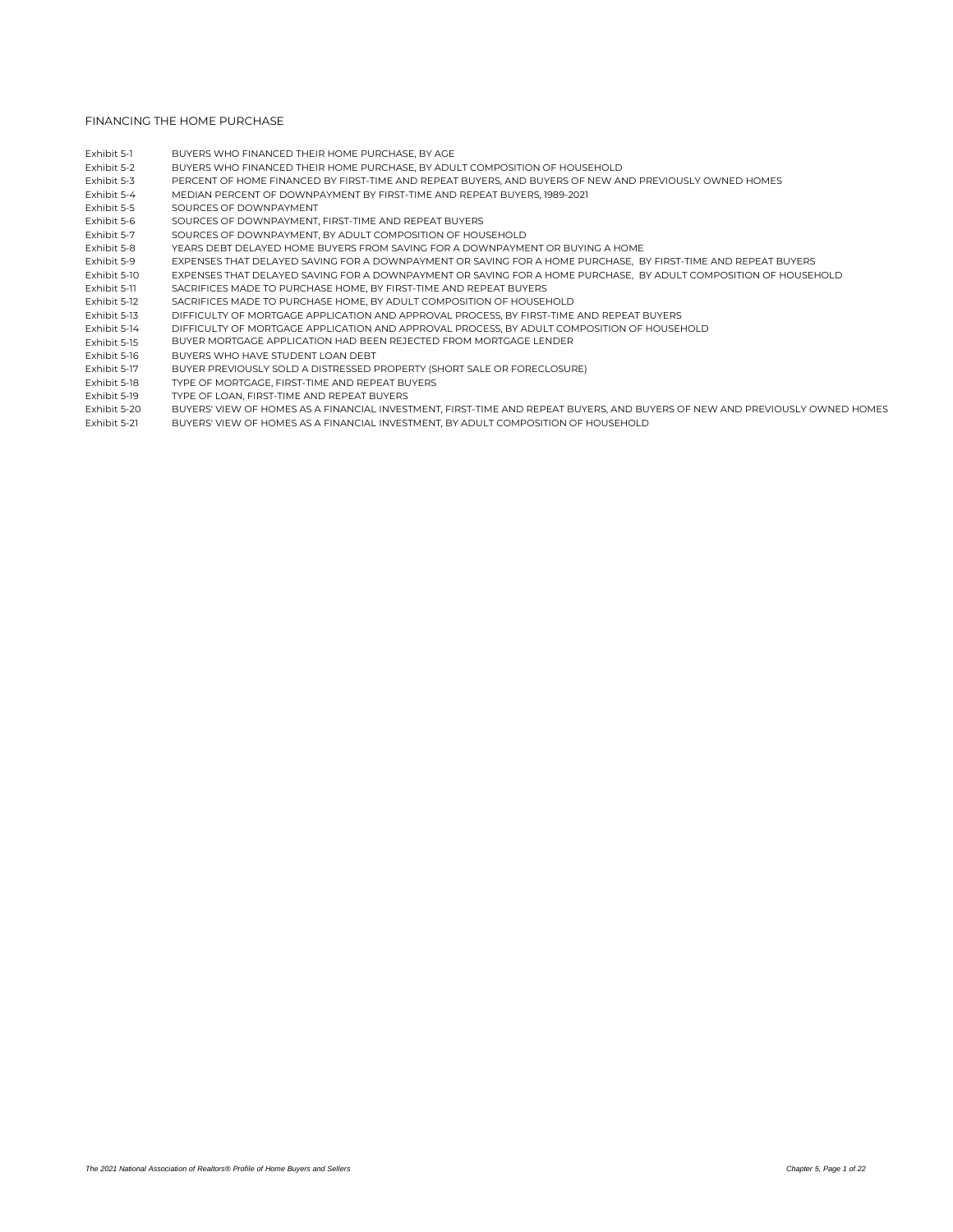- Exhibit 5-1 BUYERS WHO FINANCED THEIR HOME PURCHASE, BY AGE
- Exhibit 5-2 BUYERS WHO FINANCED THEIR HOME PURCHASE, BY ADULT COMPOSITION OF HOUSEHOLD<br>Exhibit 5-3 PERCENT OF HOME FINANCED BY FIRST-TIME AND REPEAT BUYERS, AND BUYERS OF NEW AN
- PERCENT OF HOME FINANCED BY FIRST-TIME AND REPEAT BUYERS, AND BUYERS OF NEW AND PREVIOUSLY OWNED HOMES
- Exhibit 5-4 MEDIAN PERCENT OF DOWNPAYMENT BY FIRST-TIME AND REPEAT BUYERS, 1989-2021
- Exhibit 5-5 SOURCES OF DOWNPAYMENT
- Exhibit 5-6 SOURCES OF DOWNPAYMENT, FIRST-TIME AND REPEAT BUYERS
- Exhibit 5-7 SOURCES OF DOWNPAYMENT, BY ADULT COMPOSITION OF HOUSEHOLD
- Exhibit 5-8 YEARS DEBT DELAYED HOME BUYERS FROM SAVING FOR A DOWNPAYMENT OR BUYING A HOME
- Exhibit 5-9 EXPENSES THAT DELAYED SAVING FOR A DOWNPAYMENT OR SAVING FOR A HOME PURCHASE, BY FIRST-TIME AND REPEAT BUYERS
- Exhibit 5-10 EXPENSES THAT DELAYED SAVING FOR A DOWNPAYMENT OR SAVING FOR A HOME PURCHASE, BY ADULT COMPOSITION OF HOUSEHOLD<br>Exhibit 5-11 SACRIFICES MADE TO PURCHASE HOME, BY FIRST-TIME AND REPEAT BUYERS
- SACRIFICES MADE TO PURCHASE HOME, BY FIRST-TIME AND REPEAT BUYERS
- Exhibit 5-12 SACRIFICES MADE TO PURCHASE HOME, BY ADULT COMPOSITION OF HOUSEHOLD
- Exhibit 5-13 DIFFICULTY OF MORTGAGE APPLICATION AND APPROVAL PROCESS, BY FIRST-TIME AND REPEAT BUYERS<br>Exhibit 5-14 DIFFICULTY OF MORTGAGE APPLICATION AND APPROVAL PROCESS, BY ADULT COMPOSITION OF HOUSE
- DIFFICULTY OF MORTGAGE APPLICATION AND APPROVAL PROCESS, BY ADULT COMPOSITION OF HOUSEHOLD
- Exhibit 5-15 BUYER MORTGAGE APPLICATION HAD BEEN REJECTED FROM MORTGAGE LENDER
- Exhibit 5-16 BUYERS WHO HAVE STUDENT LOAN DEBT
- Exhibit 5-17 BUYER PREVIOUSLY SOLD A DISTRESSED PROPERTY (SHORT SALE OR FORECLOSURE)<br>Exhibit 5-18 TYPE OF MORTGAGE, FIRST-TIME AND REPEAT BUYERS
- TYPE OF MORTGAGE, FIRST-TIME AND REPEAT BUYERS
- Exhibit 5-19 TYPE OF LOAN, FIRST-TIME AND REPEAT BUYERS
- Exhibit 5-20 BUYERS' VIEW OF HOMES AS A FINANCIAL INVESTMENT, FIRST-TIME AND REPEAT BUYERS, AND BUYERS OF NEW AND PREVIOUSLY OWNED HOMES<br>Exhibit 5-21 BUYERS' VIEW OF HOMES AS A FINANCIAL INVESTMENT, BY ADULT COMPOSITION OF
- BUYERS' VIEW OF HOMES AS A FINANCIAL INVESTMENT, BY ADULT COMPOSITION OF HOUSEHOLD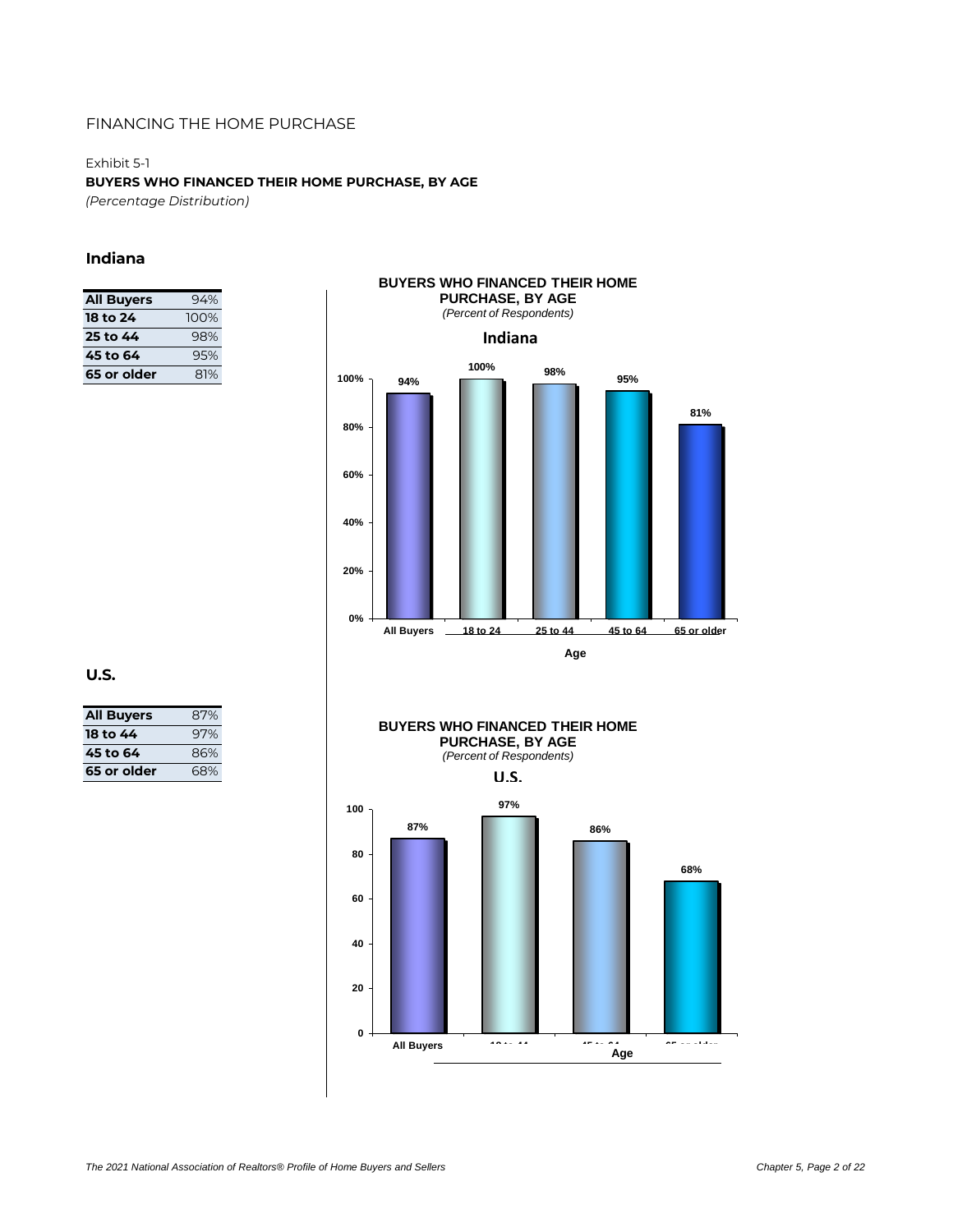Exhibit 5-1 **BUYERS WHO FINANCED THEIR HOME PURCHASE, BY AGE** *(Percentage Distribution)*

### **Indiana**

| <b>All Buyers</b> | 94%  |
|-------------------|------|
| 18 to 24          | 100% |
| 25 to 44          | 98%  |
| 45 to 64          | 9.5% |
| 65 or older       | 81%  |

**94% 100% 98% 95% 81% 0% 20% 40% 60% 80% 100% All Buyers 18 to 24 25 to 44 45 to 64 65 or older PURCHASE, BY AGE** *(Percent of Respondents)* **Indiana**

**Age**

**BUYERS WHO FINANCED THEIR HOME** 

| <b>All Buyers</b> | 87% |
|-------------------|-----|
| 18 to 44          | 97% |
| 45 to 64          | 86% |
| 65 or older       | 68% |





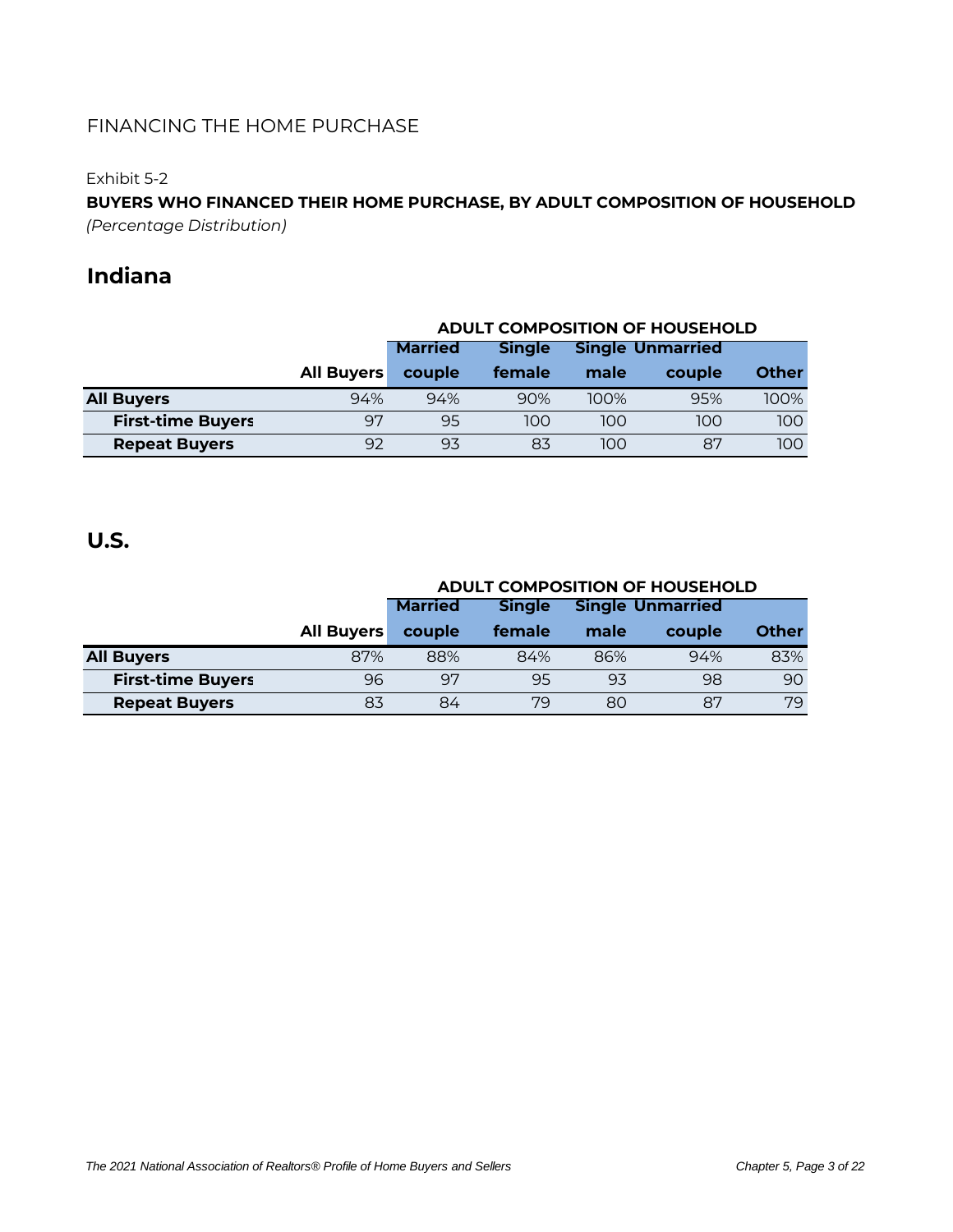### Exhibit 5-2

**BUYERS WHO FINANCED THEIR HOME PURCHASE, BY ADULT COMPOSITION OF HOUSEHOLD** *(Percentage Distribution)*

# **Indiana**

|                          |            | <b>ADULT COMPOSITION OF HOUSEHOLD</b> |                                          |      |        |              |  |  |  |  |  |  |  |
|--------------------------|------------|---------------------------------------|------------------------------------------|------|--------|--------------|--|--|--|--|--|--|--|
|                          |            | <b>Married</b>                        | <b>Single Unmarried</b><br><b>Single</b> |      |        |              |  |  |  |  |  |  |  |
|                          | All Buyers | couple                                | female                                   | male | couple | <b>Other</b> |  |  |  |  |  |  |  |
| <b>All Buyers</b>        | 94%        | 94%                                   | 90%                                      | 100% | 95%    | 100%         |  |  |  |  |  |  |  |
| <b>First-time Buyers</b> | 97         | 95                                    | 100                                      | 100  | 100    | 100          |  |  |  |  |  |  |  |
| <b>Repeat Buyers</b>     | 92         | 93                                    | 83                                       | 100  | 87     | 100          |  |  |  |  |  |  |  |

|                          |                   | <b>ADULT COMPOSITION OF HOUSEHOLD</b><br><b>Single Unmarried</b> |               |      |        |              |  |  |  |  |  |  |
|--------------------------|-------------------|------------------------------------------------------------------|---------------|------|--------|--------------|--|--|--|--|--|--|
|                          |                   | <b>Married</b>                                                   |               |      |        |              |  |  |  |  |  |  |
|                          | <b>All Buyers</b> | couple                                                           | <b>female</b> | male | couple | <b>Other</b> |  |  |  |  |  |  |
| <b>All Buyers</b>        | 87%               | 88%                                                              | 84%           | 86%  | 94%    | 83%          |  |  |  |  |  |  |
| <b>First-time Buyers</b> | 96                | 97                                                               | 95            | 93   | 98     | 90           |  |  |  |  |  |  |
| <b>Repeat Buyers</b>     | 83                | 84                                                               | 79            | 80   | 87     | 79           |  |  |  |  |  |  |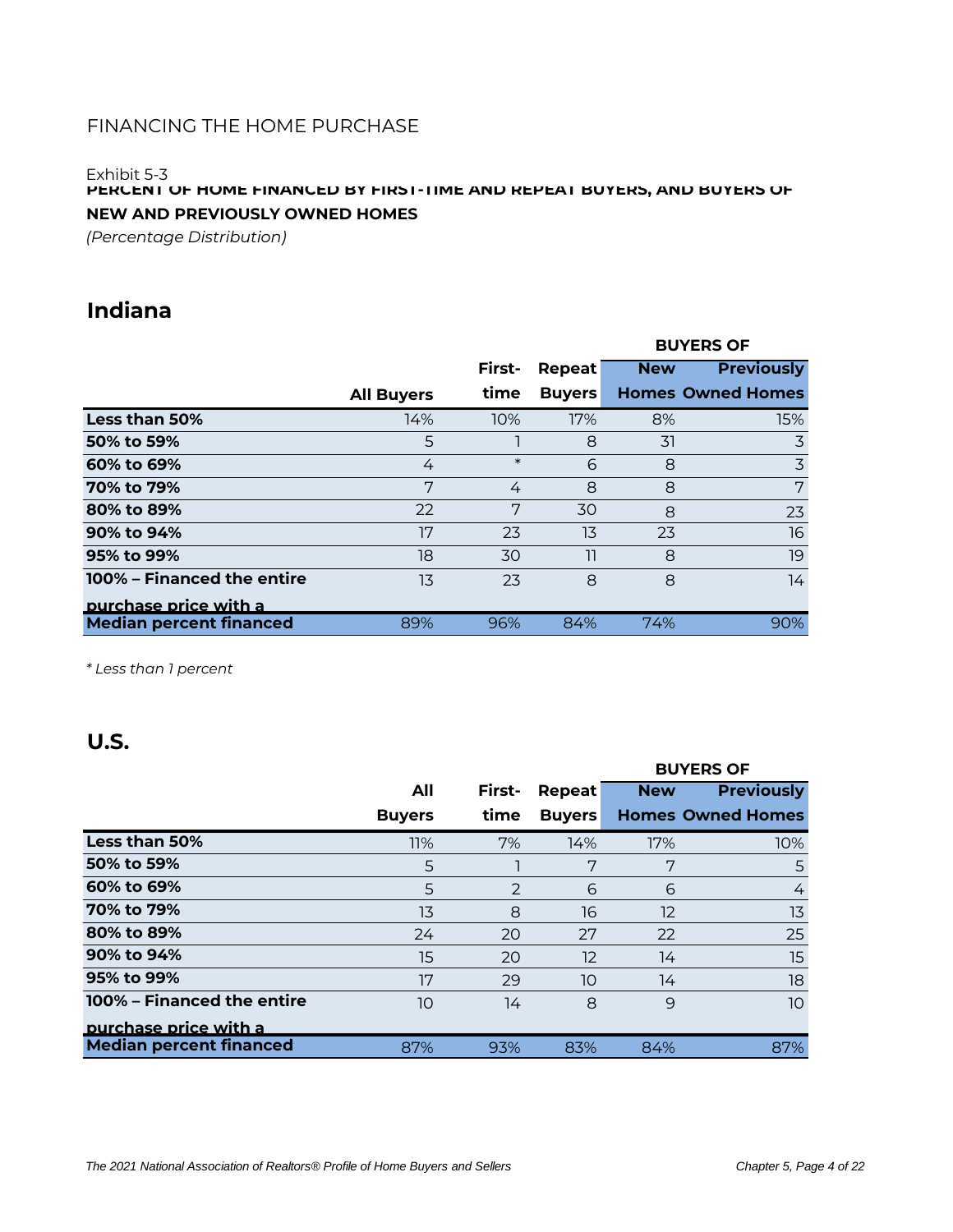### Exhibit 5-3

**PERCENT OF HOME FINANCED BY FIRST-TIME AND REPEAT BUYERS, AND BUYERS OF NEW AND PREVIOUSLY OWNED HOMES**

*(Percentage Distribution)*

# **Indiana**

|                                |                   |        |               |            | <b>BUYERS OF</b>         |
|--------------------------------|-------------------|--------|---------------|------------|--------------------------|
|                                |                   | First- | Repeat        | <b>New</b> | <b>Previously</b>        |
|                                | <b>All Buyers</b> | time   | <b>Buyers</b> |            | <b>Homes Owned Homes</b> |
| Less than 50%                  | 14%               | 10%    | 17%           | 8%         | 15%                      |
| 50% to 59%                     | 5                 |        | 8             | 31         | 3                        |
| 60% to 69%                     | 4                 | $\ast$ | 6             | 8          | $\overline{3}$           |
| 70% to 79%                     | 7                 | 4      | 8             | 8          | 7                        |
| 80% to 89%                     | 22                | 7      | 30            | 8          | 23                       |
| 90% to 94%                     | 17                | 23     | 13            | 23         | 16                       |
| 95% to 99%                     | 18                | 30     | 11            | 8          | 19                       |
| 100% - Financed the entire     | 13                | 23     | 8             | 8          | 14                       |
| purchase price with a          |                   |        |               |            |                          |
| <b>Median percent financed</b> | 89%               | 96%    | 84%           | 74%        | 90%                      |

*\* Less than 1 percent*

|                                |               |        |               | <b>BUYERS OF</b>  |                          |  |  |  |
|--------------------------------|---------------|--------|---------------|-------------------|--------------------------|--|--|--|
|                                | All           | First- | Repeat        | <b>New</b>        | <b>Previously</b>        |  |  |  |
|                                | <b>Buyers</b> | time   | <b>Buyers</b> |                   | <b>Homes Owned Homes</b> |  |  |  |
| Less than 50%                  | 11%           | 7%     | 14%           | 17%               | 10%                      |  |  |  |
| 50% to 59%                     | 5             |        | 7             | 7                 | 5                        |  |  |  |
| 60% to 69%                     | 5             | 2      | 6             | 6                 | 4                        |  |  |  |
| 70% to 79%                     | 13            | 8      | 16            | $12 \overline{ }$ | 13                       |  |  |  |
| 80% to 89%                     | 24            | 20     | 27            | 22                | 25                       |  |  |  |
| 90% to 94%                     | 15            | 20     | 12            | 14                | 15                       |  |  |  |
| 95% to 99%                     | 17            | 29     | 10            | 14                | 18                       |  |  |  |
| 100% - Financed the entire     | 10            | 14     | 8             | 9                 | 10                       |  |  |  |
| purchase price with a          |               |        |               |                   |                          |  |  |  |
| <b>Median percent financed</b> | 87%           | 93%    | 83%           | 84%               | 87%                      |  |  |  |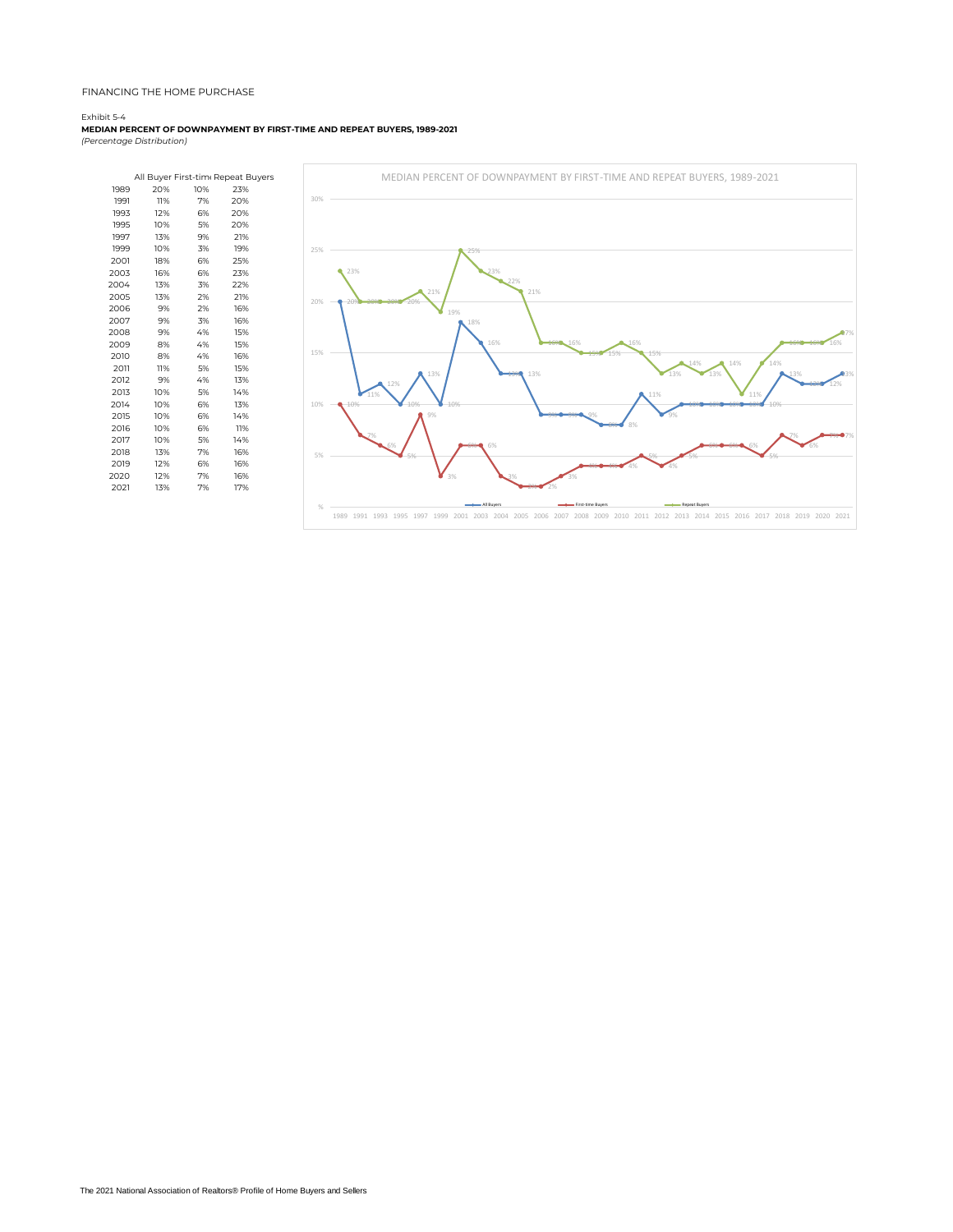#### Exhibit 5-4

#### *(Percentage Distribution)* **MEDIAN PERCENT OF DOWNPAYMENT BY FIRST-TIME AND REPEAT BUYERS, 1989-2021**

|      |     |     | All Buyer First-tim Repeat Buyers |  |
|------|-----|-----|-----------------------------------|--|
| 1989 | 20% | 10% | 23%                               |  |
| 1991 | 11% | 7%  | 20%                               |  |
| 1993 | 12% | 6%  | 20%                               |  |
| 1995 | 10% | 5%  | 20%                               |  |
| 1997 | 13% | 9%  | 21%                               |  |
| 1999 | 10% | 3%  | 19%                               |  |
| 2001 | 18% | 6%  | 25%                               |  |
| 2003 | 16% | 6%  | 23%                               |  |
| 2004 | 13% | 3%  | 22%                               |  |
| 2005 | 13% | 2%  | 21%                               |  |
| 2006 | 9%  | 2%  | 16%                               |  |
| 2007 | 9%  | 3%  | 16%                               |  |
| 2008 | 9%  | 4%  | 15%                               |  |
| 2009 | 8%  | 4%  | 15%                               |  |
| 2010 | 8%  | 4%  | 16%                               |  |
| 2011 | 11% | 5%  | 15%                               |  |
| 2012 | 9%  | 4%  | 13%                               |  |
| 2013 | 10% | 5%  | 14%                               |  |
| 2014 | 10% | 6%  | 13%                               |  |
| 2015 | 10% | 6%  | 14%                               |  |
| 2016 | 10% | 6%  | 11%                               |  |
| 2017 | 10% | 5%  | 14%                               |  |
| 2018 | 13% | 7%  | 16%                               |  |
| 2019 | 12% | 6%  | 16%                               |  |
| 2020 | 12% | 7%  | 16%                               |  |
| 2021 | 13% | 7%  | 17%                               |  |
|      |     |     |                                   |  |

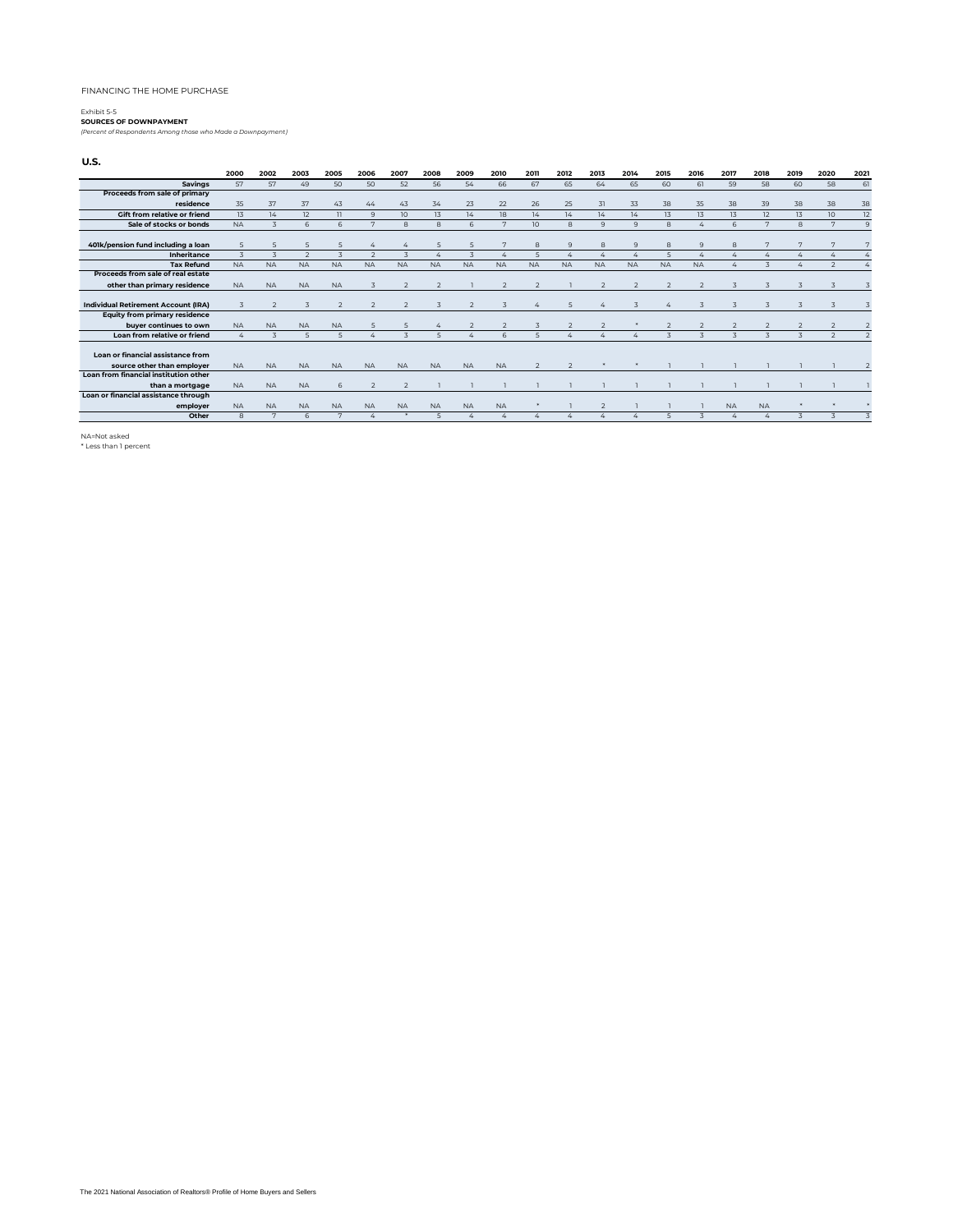Exhibit 5-5 **SOURCES OF DOWNPAYMENT** *(Percent of Respondents Among those who Made a Downpayment)*

#### **U.S.**

|                                            | 2000      | 2002           | 2003            | 2005           | 2006           | 2007         | 2008           | 2009      | 2010           | 2011           | 2012           | 2013           | 2014           | 2015                     | 2016                    | 2017            | 2018                    | 2019         | 2020            | 2021           |
|--------------------------------------------|-----------|----------------|-----------------|----------------|----------------|--------------|----------------|-----------|----------------|----------------|----------------|----------------|----------------|--------------------------|-------------------------|-----------------|-------------------------|--------------|-----------------|----------------|
| <b>Savings</b>                             | 57        | 57             | 49              | 50             | 50             | 52           | 56             | 54        | 66             | 67             | 65             | 64             | 65             | 60                       | 61                      | 59              | 58                      | 60           | 58              | 61             |
| Proceeds from sale of primary              |           |                |                 |                |                |              |                |           |                |                |                |                |                |                          |                         |                 |                         |              |                 |                |
| residence                                  | 35        | 37             | 37              | 43             | 44             | 43           | 34             | 23        | 22             | 26             | 25             | 31             | 33             | 38                       | 35                      | 38              | 39                      | 38           | 38              | 38             |
| Gift from relative or friend               | 13        | 14             | 12              | 11             | $\mathbf{q}$   | 10           | 13             | 14        | 18             | 14             | 14             | 14             | 14             | 13                       | 13                      | 13              | 12                      | 13           | 10 <sup>°</sup> | 12             |
| Sale of stocks or bonds                    | <b>NA</b> | 3              | 6               | 6              | $\mathbf{z}$   | 8            | 8              | 6.        | 7              | 10             | 8              | 9              | 9              | 8                        | 4                       | $6\overline{6}$ | $\mathbf{z}$            | 8            | $\mathbf{z}$    | $\overline{9}$ |
|                                            |           |                |                 |                |                |              |                |           |                |                |                |                |                |                          |                         |                 |                         |              |                 |                |
| 401k/pension fund including a loan         | 5         | 5              | 5               | 5              | $\Delta$       | $\Delta$     |                | 5         | 7              | 8              | 9              | $\mathbf{a}$   | 9              | 8                        | 9                       | 8               |                         |              |                 | 7              |
| Inheritance                                | 3         | 3              | $\overline{z}$  | $\overline{3}$ | $\overline{ }$ |              |                |           |                | $\overline{a}$ | 4              |                | 4              | 5                        | 4                       |                 |                         |              |                 |                |
| <b>Tax Refund</b>                          | <b>NA</b> | <b>NA</b>      | NA.             | <b>NA</b>      | <b>NA</b>      | <b>NA</b>    | <b>NA</b>      | <b>NA</b> | <b>NA</b>      | <b>NA</b>      | <b>NA</b>      | <b>NA</b>      | <b>NA</b>      | <b>NA</b>                | <b>NA</b>               | $\Delta$        | $\overline{\mathbf{z}}$ | 4            | $\overline{z}$  |                |
| Proceeds from sale of real estate          |           |                |                 |                |                |              |                |           |                |                |                |                |                |                          |                         |                 |                         |              |                 |                |
| other than primary residence               | <b>NA</b> | <b>NA</b>      | <b>NA</b>       | <b>NA</b>      | 3              |              | $\overline{z}$ |           | $\overline{z}$ | $\overline{z}$ |                |                | $\overline{z}$ | $\overline{z}$           | $\overline{z}$          | 3               | 3                       | 3            | 3               | 3              |
|                                            |           |                |                 |                |                |              |                |           |                |                |                |                |                |                          |                         |                 |                         |              |                 |                |
| <b>Individual Retirement Account (IRA)</b> |           | $\overline{z}$ |                 |                |                |              |                |           |                |                | 5              |                |                |                          |                         |                 |                         |              |                 |                |
| <b>Equity from primary residence</b>       |           |                |                 |                |                |              |                |           |                |                |                |                |                |                          |                         |                 |                         |              |                 |                |
| buyer continues to own                     | <b>NA</b> | <b>NA</b>      | NA.             | <b>NA</b>      | 5              |              |                |           |                | 3              | $\overline{2}$ |                |                |                          |                         |                 |                         |              |                 |                |
| Loan from relative or friend               | 4         | 3              | 5               | $\overline{5}$ | $\Delta$       | $\mathbf{z}$ | 5              |           | 6              | 5              | $\Delta$       | $\Lambda$      | 4              | 3                        | 3                       | $\overline{z}$  | $\overline{A}$          | $\mathbf{z}$ |                 |                |
| Loan or financial assistance from          |           |                |                 |                |                |              |                |           |                |                |                |                |                |                          |                         |                 |                         |              |                 |                |
| source other than employer                 | <b>NA</b> | <b>NA</b>      | N <sub>A</sub>  | <b>NA</b>      | <b>NA</b>      | <b>NA</b>    | <b>NA</b>      | <b>NA</b> | <b>NA</b>      | $\overline{z}$ | $\overline{2}$ |                |                |                          |                         |                 |                         |              |                 |                |
| Loan from financial institution other      |           |                |                 |                |                |              |                |           |                |                |                |                |                |                          |                         |                 |                         |              |                 |                |
| than a mortgage                            | <b>NA</b> | <b>NA</b>      | <b>NA</b>       | 6              | $\overline{2}$ |              |                |           |                |                |                |                |                |                          |                         |                 |                         |              |                 |                |
| Loan or financial assistance through       |           |                |                 |                |                |              |                |           |                |                |                |                |                |                          |                         |                 |                         |              |                 |                |
| employer                                   | <b>NA</b> | <b>NA</b>      | <b>NA</b>       | <b>NA</b>      | <b>NA</b>      | <b>NA</b>    | <b>NA</b>      | <b>NA</b> | <b>NA</b>      |                |                | $\overline{2}$ |                |                          |                         | <b>NA</b>       | <b>NA</b>               |              |                 |                |
| Other                                      | 8         | $\overline{7}$ | $6\overline{6}$ | $\overline{7}$ | $\Delta$       |              |                |           | 4              |                | 4              |                | $\lambda$      | $\overline{\phantom{a}}$ | $\overline{\mathbf{z}}$ |                 |                         |              |                 |                |

NA=Not asked \* Less than 1 percent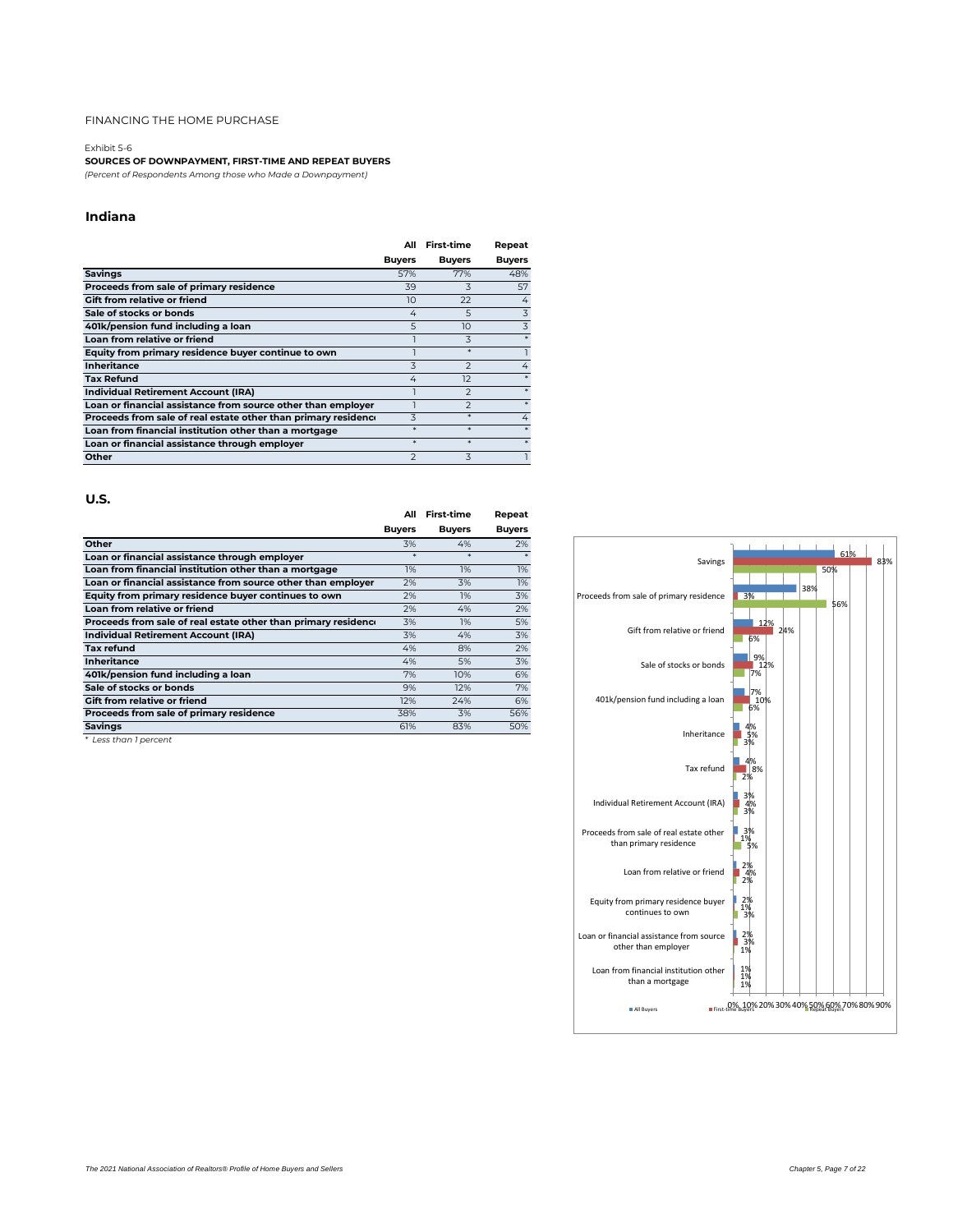#### Exhibit 5-6

#### **SOURCES OF DOWNPAYMENT, FIRST-TIME AND REPEAT BUYERS**

*(Percent of Respondents Among those who Made a Downpayment)*

#### **Indiana**

|                                                                | All                      | <b>First-time</b> | Repeat        |
|----------------------------------------------------------------|--------------------------|-------------------|---------------|
|                                                                | <b>Buyers</b>            | <b>Buyers</b>     | <b>Buyers</b> |
| <b>Savings</b>                                                 | 57%                      | 77%               | 48%           |
| Proceeds from sale of primary residence                        | 39                       | 3                 | 57            |
| Gift from relative or friend                                   | 10                       | 22                | 4             |
| Sale of stocks or bonds                                        | 4                        | 5                 | 3             |
| 401k/pension fund including a loan                             | 5                        | 10                | 3             |
| Loan from relative or friend                                   |                          | 3                 |               |
| Equity from primary residence buyer continue to own            |                          | $\star$           |               |
| <b>Inheritance</b>                                             | 3                        | $\mathcal{P}$     | 4             |
| <b>Tax Refund</b>                                              | 4                        | 12                |               |
| <b>Individual Retirement Account (IRA)</b>                     |                          | 2                 |               |
| Loan or financial assistance from source other than employer   |                          | $\mathcal{P}$     |               |
| Proceeds from sale of real estate other than primary residence | 3                        | $\star$           |               |
| Loan from financial institution other than a mortgage          | $\ast$                   | $\star$           |               |
| Loan or financial assistance through employer                  | $\star$                  | $\star$           |               |
| Other                                                          | $\overline{\phantom{0}}$ | 3                 |               |

#### **U.S.**

|                                                                | All           | <b>First-time</b> | Repeat        |
|----------------------------------------------------------------|---------------|-------------------|---------------|
|                                                                | <b>Buyers</b> | <b>Buyers</b>     | <b>Buyers</b> |
| Other                                                          | 3%            | 4%                | 2%            |
| Loan or financial assistance through employer                  | $\ast$        | $\star$           |               |
| Loan from financial institution other than a mortgage          | 1%            | 1%                | 1%            |
| Loan or financial assistance from source other than employer   | 2%            | 3%                | 1%            |
| Equity from primary residence buyer continues to own           | 2%            | 1%                | 3%            |
| Loan from relative or friend                                   | 2%            | 4%                | 2%            |
| Proceeds from sale of real estate other than primary residence | 3%            | 1%                | 5%            |
| <b>Individual Retirement Account (IRA)</b>                     | 3%            | 4%                | 3%            |
| <b>Tax refund</b>                                              | 4%            | 8%                | 2%            |
| <b>Inheritance</b>                                             | 4%            | 5%                | 3%            |
| 401k/pension fund including a loan                             | 7%            | 10%               | 6%            |
| Sale of stocks or bonds                                        | 9%            | 12%               | 7%            |
| Gift from relative or friend                                   | 12%           | 24%               | 6%            |
| Proceeds from sale of primary residence                        | 38%           | 3%                | 56%           |
| Savings                                                        | 61%           | 83%               | 50%           |

*\* Less than 1 percent*

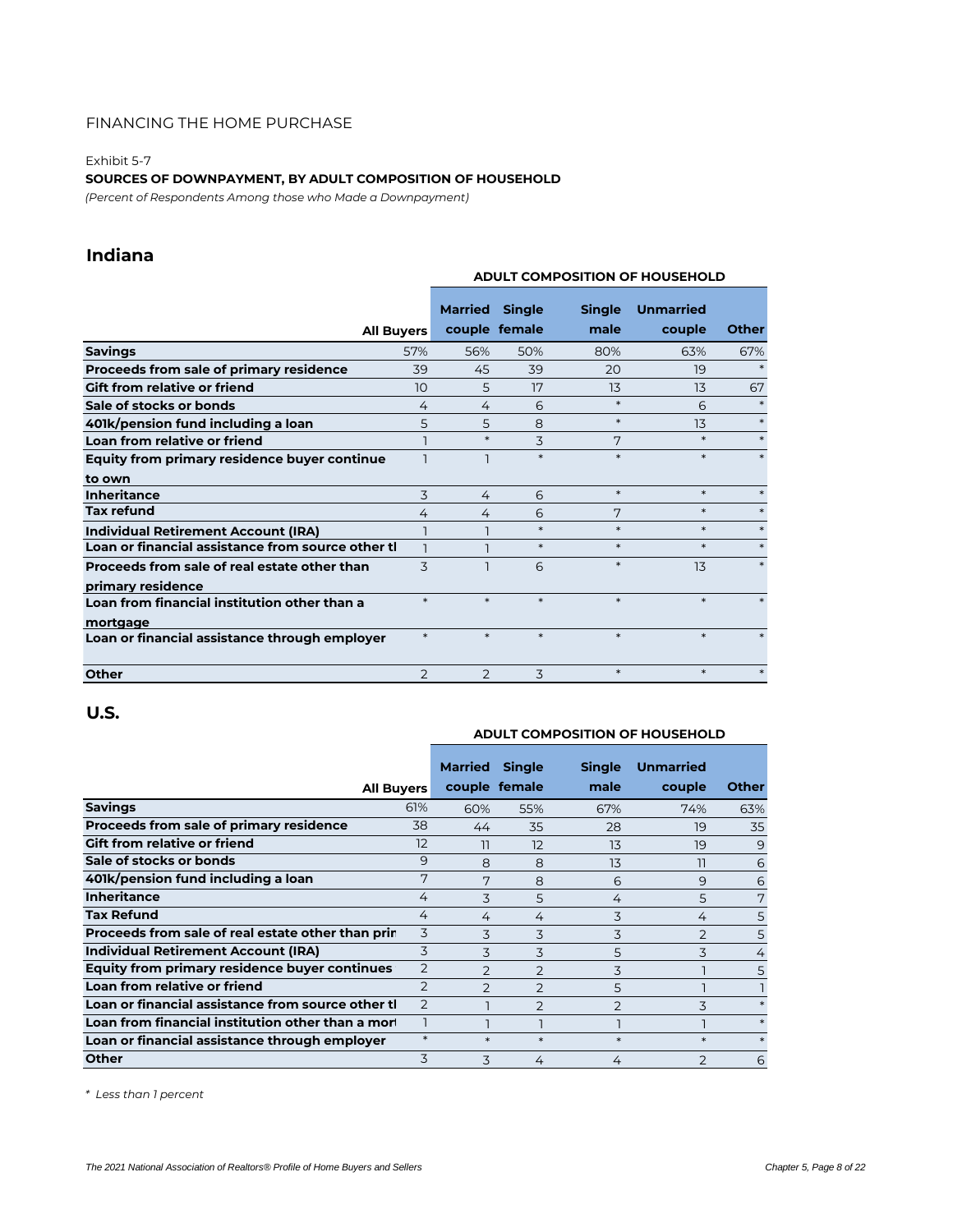Exhibit 5-7

#### **SOURCES OF DOWNPAYMENT, BY ADULT COMPOSITION OF HOUSEHOLD**

*(Percent of Respondents Among those who Made a Downpayment)*

# **Indiana**

|                                                                   | <b>ADULT COMPOSITION OF HOUSEHOLD</b> |                |                                |                       |                            |              |  |  |  |  |  |
|-------------------------------------------------------------------|---------------------------------------|----------------|--------------------------------|-----------------------|----------------------------|--------------|--|--|--|--|--|
|                                                                   | <b>All Buyers</b>                     | <b>Married</b> | <b>Single</b><br>couple female | <b>Single</b><br>male | <b>Unmarried</b><br>couple | <b>Other</b> |  |  |  |  |  |
| <b>Savings</b>                                                    | 57%                                   | 56%            | 50%                            | 80%                   | 63%                        | 67%          |  |  |  |  |  |
| Proceeds from sale of primary residence                           | 39                                    | 45             | 39                             | 20                    | 19                         |              |  |  |  |  |  |
| <b>Gift from relative or friend</b>                               | 10                                    | 5              | 17                             | 13                    | 13                         | 67           |  |  |  |  |  |
| Sale of stocks or bonds                                           | 4                                     | 4              | 6                              | $\ast$                | 6                          | $*$          |  |  |  |  |  |
| 401k/pension fund including a loan                                | 5                                     | 5              | 8                              | $\ast$                | 13                         | $\ast$       |  |  |  |  |  |
| Loan from relative or friend                                      |                                       | $\ast$         | 3                              | 7                     | $*$                        | $\star$      |  |  |  |  |  |
| Equity from primary residence buyer continue<br>to own            |                                       |                | $\ast$                         | $\ast$                | $\ast$                     | $\ast$       |  |  |  |  |  |
| <b>Inheritance</b>                                                | 3                                     | 4              | 6                              | $\ast$                | $*$                        | $\ast$       |  |  |  |  |  |
| <b>Tax refund</b>                                                 | 4                                     | 4              | 6                              | 7                     | $\ast$                     | $\ast$       |  |  |  |  |  |
| <b>Individual Retirement Account (IRA)</b>                        |                                       |                | $\ast$                         | $\ast$                | $*$                        | $\ast$       |  |  |  |  |  |
| Loan or financial assistance from source other tl                 |                                       |                | $\ast$                         | $\ast$                | $\ast$                     | $\ast$       |  |  |  |  |  |
| Proceeds from sale of real estate other than<br>primary residence | 3                                     |                | 6                              | $\ast$                | 13                         | $*$          |  |  |  |  |  |
| Loan from financial institution other than a<br>mortgage          | $\ast$                                | $\ast$         | $\ast$                         | $\ast$                | $\ast$                     | $\ast$       |  |  |  |  |  |
| Loan or financial assistance through employer                     | $\ast$                                | $\ast$         | $\ast$                         | $\ast$                | $\ast$                     | $\ast$       |  |  |  |  |  |
| <b>Other</b>                                                      | $\overline{2}$                        | 2              | 3                              | $\ast$                | $\ast$                     | $\star$      |  |  |  |  |  |

### **U.S.**

#### **ADULT COMPOSITION OF HOUSEHOLD**

|                                                                    | <b>Married</b> | <b>Single</b>  | <b>Single</b>  | <b>Unmarried</b> |              |
|--------------------------------------------------------------------|----------------|----------------|----------------|------------------|--------------|
| <b>All Buyers</b>                                                  |                | couple female  | male           | couple           | <b>Other</b> |
| <b>Savings</b><br>61%                                              | 60%            | 55%            | 67%            | 74%              | 63%          |
| Proceeds from sale of primary residence<br>38                      | 44             | 35             | 28             | 19               | 35           |
| <b>Gift from relative or friend</b><br>12                          | 11             | 12             | 13             | 19               | 9            |
| Sale of stocks or bonds<br>9                                       | 8              | 8              | 13             | 11               | 6            |
| 401k/pension fund including a loan<br>7                            | 7              | 8              | 6              | 9                | 6            |
| <b>Inheritance</b><br>4                                            | 3              | 5              | 4              | 5                | 7            |
| <b>Tax Refund</b><br>4                                             | 4              | 4              | 3              | 4                | 5            |
| 3<br>Proceeds from sale of real estate other than prin             | 3              | 3              | 3              | 2                | 5            |
| 3<br><b>Individual Retirement Account (IRA)</b>                    | 3              | 3              | 5              | 3                | 4            |
| Equity from primary residence buyer continues<br>$\overline{2}$    | $\mathcal{P}$  | $\mathcal{P}$  | 3              |                  | 5            |
| Loan from relative or friend<br>2                                  | $\mathcal{P}$  | $\mathcal{P}$  | 5              |                  |              |
| Loan or financial assistance from source other tl<br>$\mathcal{P}$ |                | $\overline{2}$ | $\overline{2}$ | 3                | $*$          |
| Loan from financial institution other than a mort                  |                |                |                |                  | $*$          |
| $*$<br>Loan or financial assistance through employer               | $\ast$         | $*$            | $\ast$         | $\ast$           | $\ast$       |
| 3<br>Other                                                         | 3              | 4              | 4              | $\mathcal{P}$    | 6            |

*\* Less than 1 percent*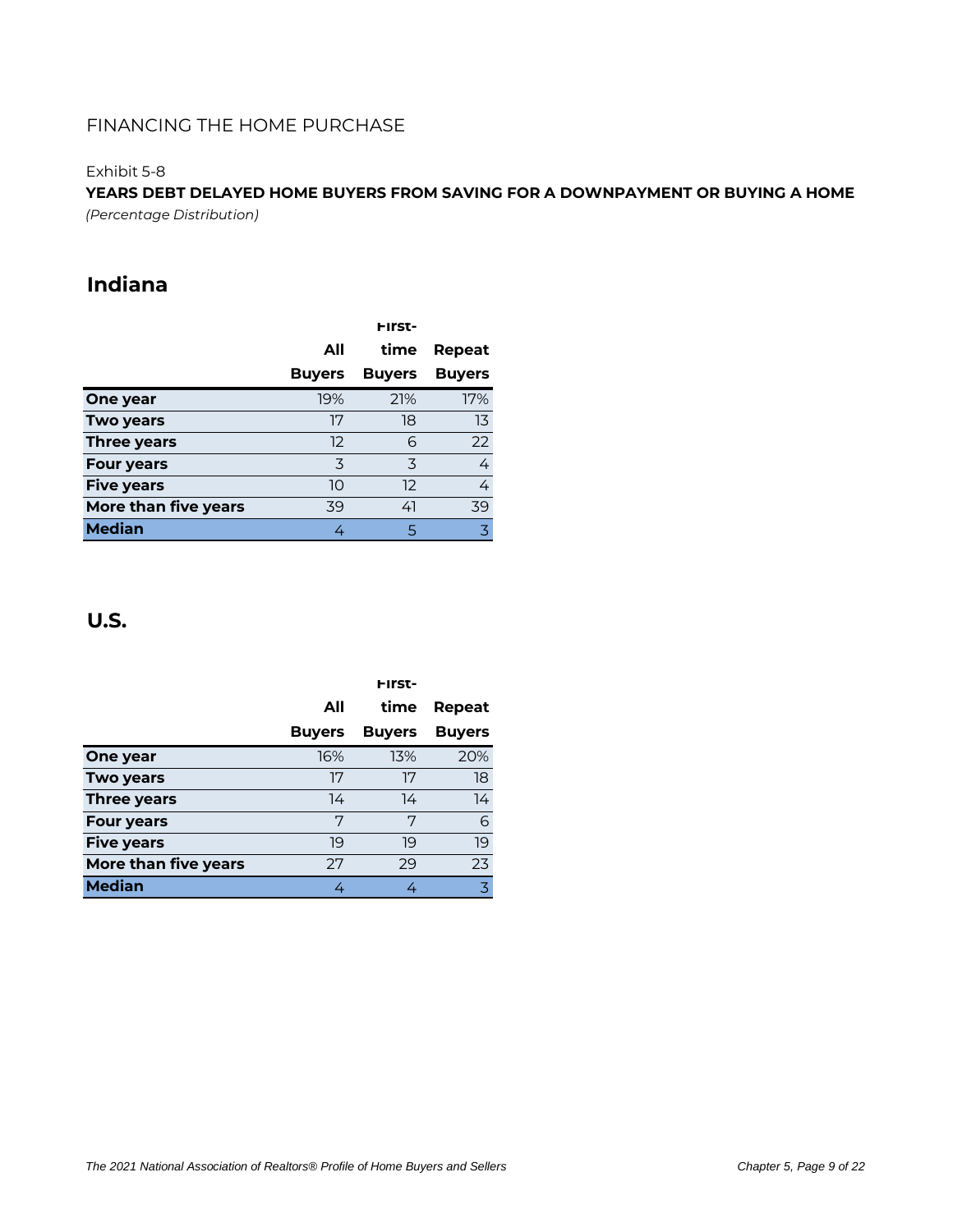### Exhibit 5-8

**YEARS DEBT DELAYED HOME BUYERS FROM SAVING FOR A DOWNPAYMENT OR BUYING A HOME** *(Percentage Distribution)*

# **Indiana**

|                      |               | <b>First-</b> |                |
|----------------------|---------------|---------------|----------------|
|                      | All           | time          | Repeat         |
|                      | <b>Buyers</b> | <b>Buyers</b> | <b>Buyers</b>  |
| One year             | 19%           | 21%           | 17%            |
| <b>Two years</b>     | 17            | 18            | 13             |
| Three years          | 12            | 6             | 22             |
| <b>Four years</b>    | 3             | 3             | 4              |
| <b>Five years</b>    | 10            | 12            | $\overline{4}$ |
| More than five years | 39            | 41            | 39             |
| <b>Median</b>        | 4             |               | $\overline{3}$ |

|                      |               | <b>FILST-</b> |               |
|----------------------|---------------|---------------|---------------|
|                      | All           | time          | Repeat        |
|                      | <b>Buyers</b> | <b>Buyers</b> | <b>Buyers</b> |
| One year             | 16%           | 13%           | 20%           |
| <b>Two years</b>     | 17            | 17            | 18            |
| Three years          | 14            | 14            | 14            |
| <b>Four years</b>    | 7             | 7             | 6             |
| <b>Five years</b>    | 19            | 19            | 19            |
| More than five years | 27            | 29            | 23            |
| <b>Median</b>        |               | 4             | 3             |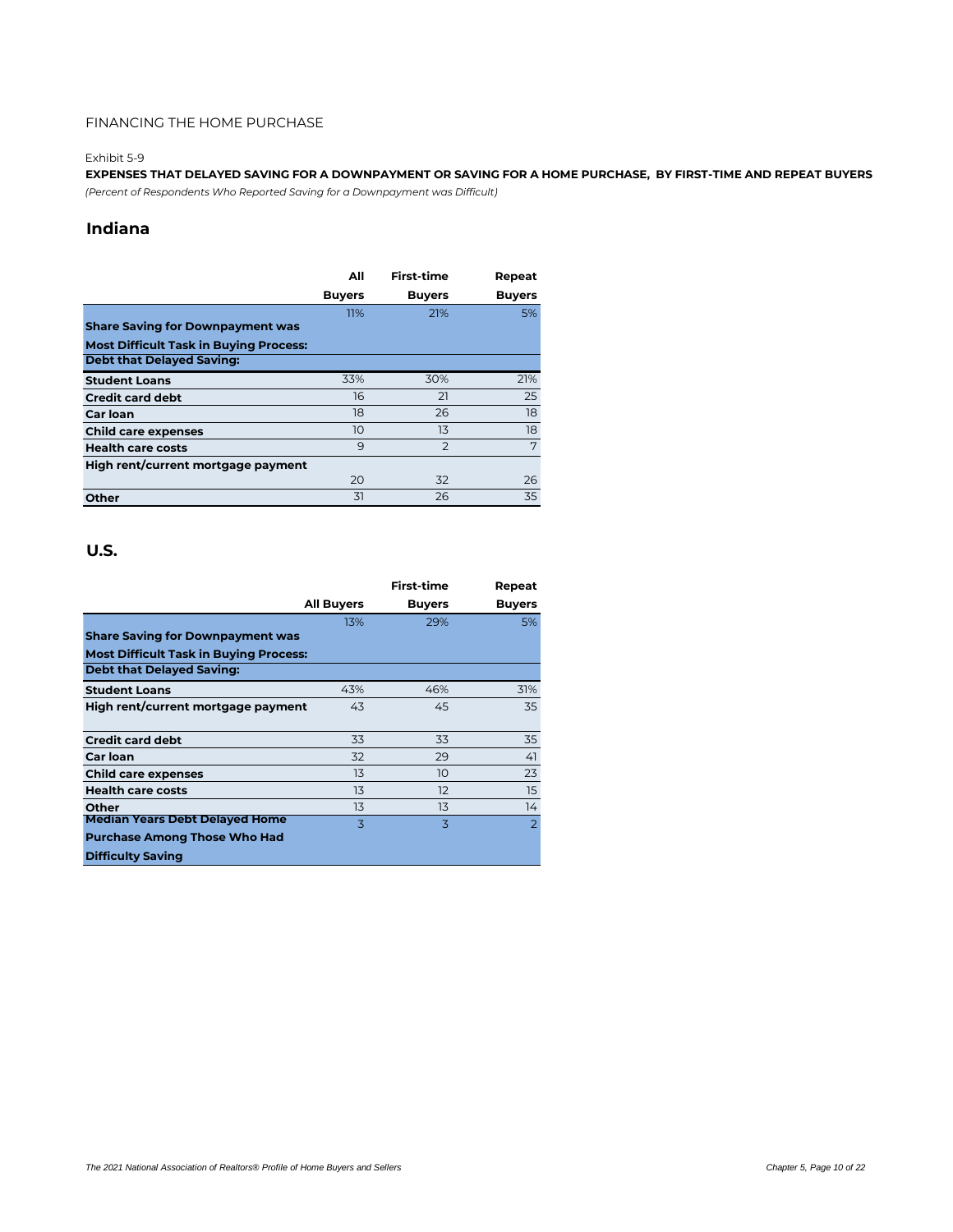#### Exhibit 5-9

**EXPENSES THAT DELAYED SAVING FOR A DOWNPAYMENT OR SAVING FOR A HOME PURCHASE, BY FIRST-TIME AND REPEAT BUYERS** *(Percent of Respondents Who Reported Saving for a Downpayment was Difficult)*

### **Indiana**

|                                               | All           | First-time     | Repeat        |
|-----------------------------------------------|---------------|----------------|---------------|
|                                               | <b>Buyers</b> | <b>Buyers</b>  | <b>Buyers</b> |
|                                               | 11%           | 21%            | 5%            |
| <b>Share Saving for Downpayment was</b>       |               |                |               |
| <b>Most Difficult Task in Buying Process:</b> |               |                |               |
| <b>Debt that Delayed Saving:</b>              |               |                |               |
| <b>Student Loans</b>                          | 33%           | 30%            | 21%           |
| <b>Credit card debt</b>                       | 16            | 21             | 25            |
| Car Ioan                                      | 18            | 26             | 18            |
| <b>Child care expenses</b>                    | 10            | 13             | 18            |
| <b>Health care costs</b>                      | $\mathbf{Q}$  | $\overline{2}$ | 7             |
| High rent/current mortgage payment            |               |                |               |
|                                               | 20            | 32             | 26            |
| Other                                         | 31            | 26             | 35            |

|                                               |                   | First-time    | Repeat         |
|-----------------------------------------------|-------------------|---------------|----------------|
|                                               | <b>All Buyers</b> | <b>Buyers</b> | <b>Buyers</b>  |
|                                               | 13%               | 29%           | 5%             |
| <b>Share Saving for Downpayment was</b>       |                   |               |                |
| <b>Most Difficult Task in Buying Process:</b> |                   |               |                |
| <b>Debt that Delayed Saving:</b>              |                   |               |                |
| <b>Student Loans</b>                          | 43%               | 46%           | 31%            |
| High rent/current mortgage payment            | 43                | 45            | 35             |
|                                               |                   |               |                |
| <b>Credit card debt</b>                       | 33                | 33            | 35             |
| Car Ioan                                      | 32                | 29            | 41             |
| <b>Child care expenses</b>                    | 13                | 10            | 23             |
| <b>Health care costs</b>                      | 13                | 12            | 15             |
| Other                                         | 13                | 13            | 14             |
| <b>Median Years Debt Delayed Home</b>         | 3                 | 3             | $\overline{2}$ |
| <b>Purchase Among Those Who Had</b>           |                   |               |                |
| <b>Difficulty Saving</b>                      |                   |               |                |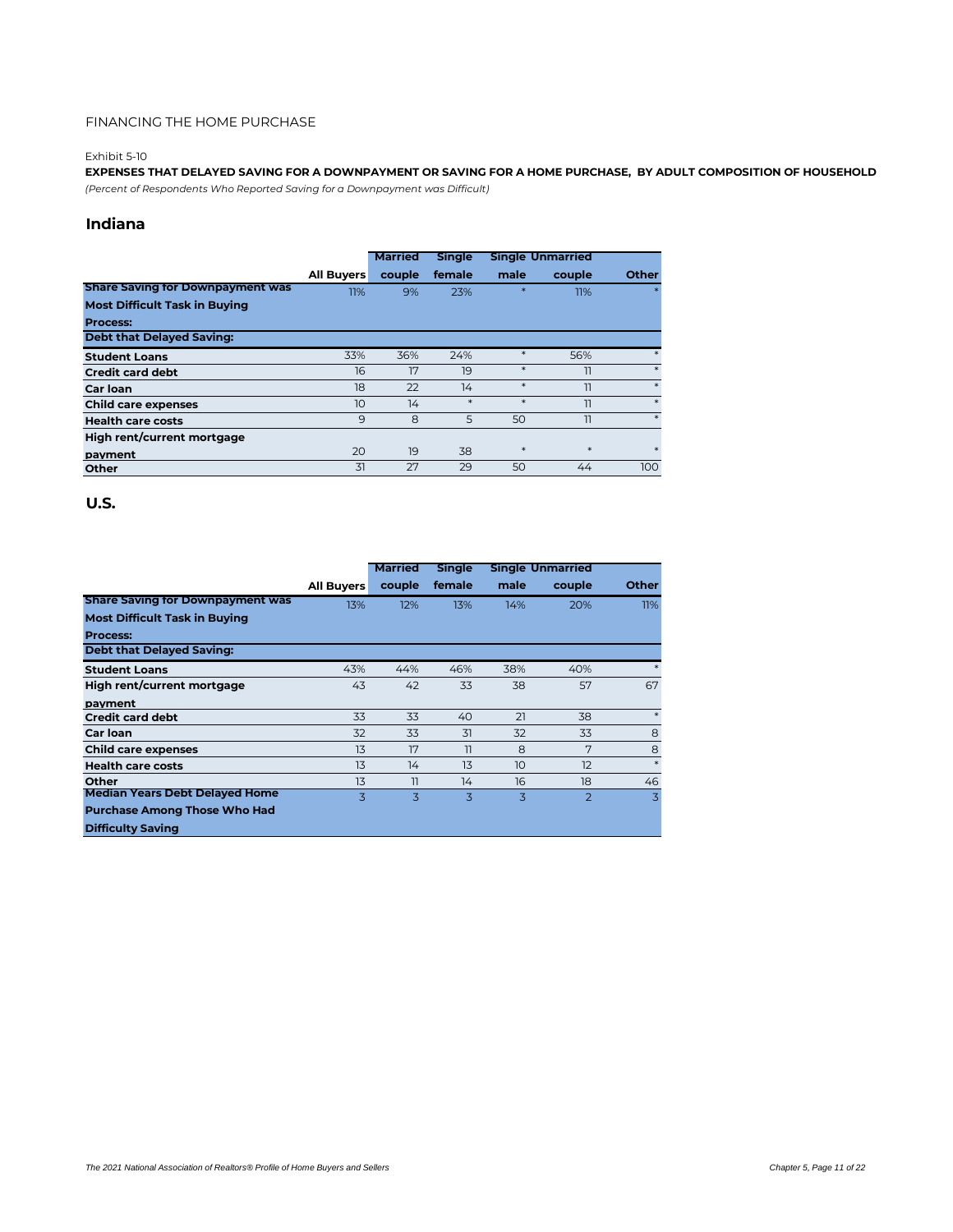#### Exhibit 5-10

**EXPENSES THAT DELAYED SAVING FOR A DOWNPAYMENT OR SAVING FOR A HOME PURCHASE, BY ADULT COMPOSITION OF HOUSEHOLD** *(Percent of Respondents Who Reported Saving for a Downpayment was Difficult)*

### **Indiana**

|                                         |                   | <b>Married</b> | <b>Single</b> |        | <b>Single Unmarried</b> |              |
|-----------------------------------------|-------------------|----------------|---------------|--------|-------------------------|--------------|
|                                         | <b>All Buyers</b> | couple         | female        | male   | couple                  | <b>Other</b> |
| <b>Share Saving for Downpayment was</b> | 11%               | 9%             | 23%           | $\ast$ | 11%                     | $\ast$       |
| <b>Most Difficult Task in Buying</b>    |                   |                |               |        |                         |              |
| <b>Process:</b>                         |                   |                |               |        |                         |              |
| <b>Debt that Delayed Saving:</b>        |                   |                |               |        |                         |              |
| <b>Student Loans</b>                    | 33%               | 36%            | 24%           | $\ast$ | 56%                     | $\ast$       |
| <b>Credit card debt</b>                 | 16                | 17             | 19            | $\ast$ | 11                      | $\ast$       |
| Car Ioan                                | 18                | 22             | 14            | $\ast$ | 11                      | $\ast$       |
| <b>Child care expenses</b>              | 10                | 14             | $\ast$        | $\ast$ | 11                      | $\ast$       |
| <b>Health care costs</b>                | 9                 | 8              | 5             | 50     | 11                      | $\ast$       |
| High rent/current mortgage              |                   |                |               |        |                         |              |
| payment                                 | 20                | 19             | 38            | $\ast$ | $\ast$                  | $\ast$       |
| Other                                   | 31                | 27             | 29            | 50     | 44                      | 100          |

|                                         |                   | <b>Married</b> | <b>Single</b> |                | <b>Single Unmarried</b> |                |
|-----------------------------------------|-------------------|----------------|---------------|----------------|-------------------------|----------------|
|                                         | <b>All Buyers</b> | couple         | female        | male           | couple                  | <b>Other</b>   |
|                                         |                   |                |               |                |                         |                |
| <b>Share Saving for Downpayment was</b> | 13%               | 12%            | 13%           | 14%            | 20%                     | 11%            |
| <b>Most Difficult Task in Buying</b>    |                   |                |               |                |                         |                |
| <b>Process:</b>                         |                   |                |               |                |                         |                |
| <b>Debt that Delayed Saving:</b>        |                   |                |               |                |                         |                |
| <b>Student Loans</b>                    | 43%               | 44%            | 46%           | 38%            | 40%                     | $\ast$         |
| High rent/current mortgage              | 43                | 42             | 33            | 38             | 57                      | 67             |
| payment                                 |                   |                |               |                |                         |                |
| <b>Credit card debt</b>                 | 33                | 33             | 40            | 21             | 38                      | $\ast$         |
| <b>Car loan</b>                         | 32                | 33             | 31            | 32             | 33                      | 8              |
| <b>Child care expenses</b>              | 13                | 17             | 11            | 8              | 7                       | 8              |
| <b>Health care costs</b>                | 13                | 14             | 13            | 10             | 12                      | $\ast$         |
| Other                                   | 13                | 11             | 14            | 16             | 18                      | 46             |
| <b>Median Years Debt Delayed Home</b>   | 3                 | 3              | 3             | $\overline{3}$ | $\mathcal{P}$           | $\overline{3}$ |
| <b>Purchase Among Those Who Had</b>     |                   |                |               |                |                         |                |
| <b>Difficulty Saving</b>                |                   |                |               |                |                         |                |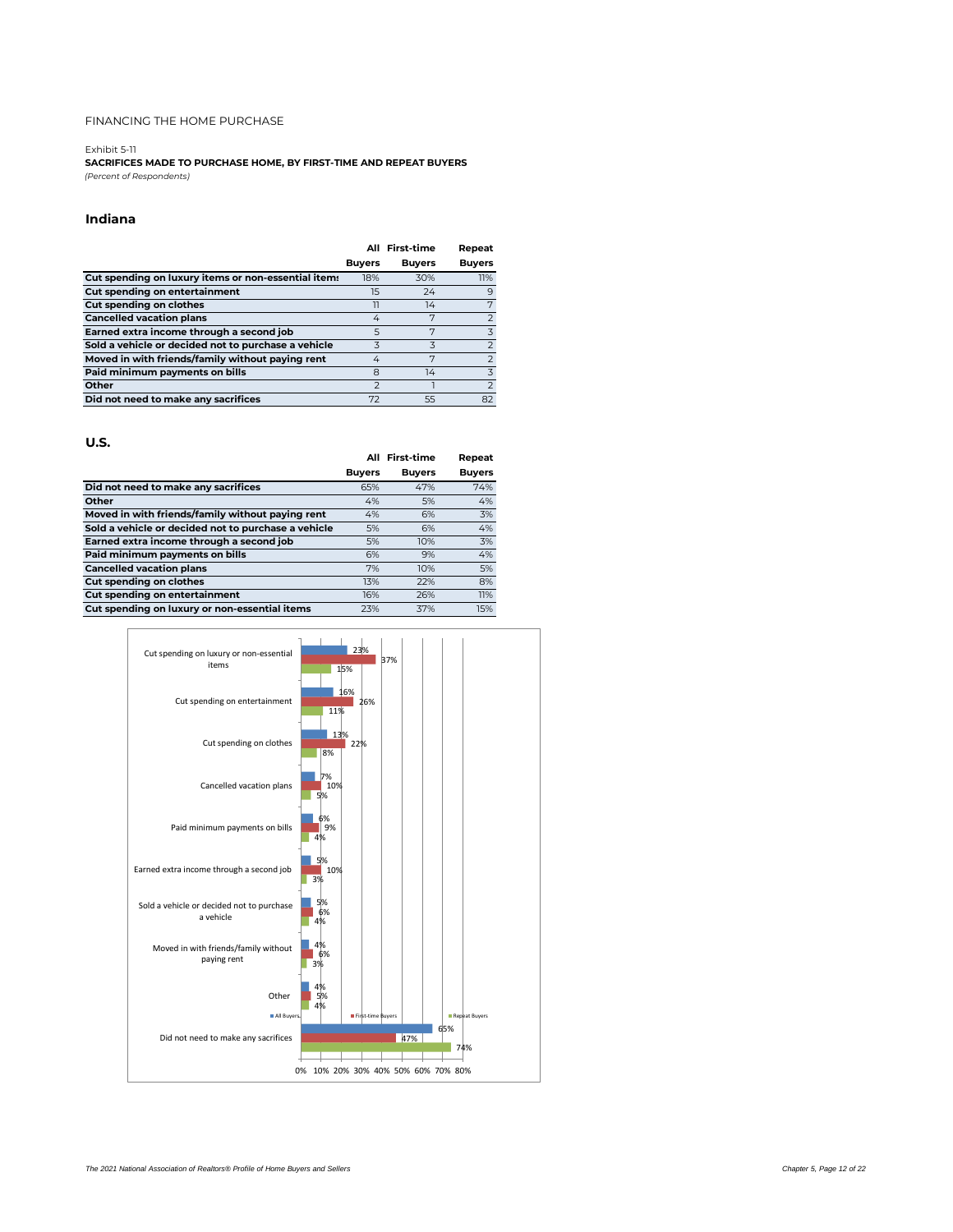#### Exhibit 5-11

**SACRIFICES MADE TO PURCHASE HOME, BY FIRST-TIME AND REPEAT BUYERS** *(Percent of Respondents)*

#### **Indiana**

|                                                     |                          | All First-time | Repeat         |
|-----------------------------------------------------|--------------------------|----------------|----------------|
|                                                     | <b>Buyers</b>            | <b>Buyers</b>  | <b>Buyers</b>  |
| Cut spending on luxury items or non-essential items | 18%                      | 30%            | 11%            |
| <b>Cut spending on entertainment</b>                | 15                       | 24             | 9              |
| Cut spending on clothes                             | וו                       | 14             | 7              |
| <b>Cancelled vacation plans</b>                     | 4                        | 7              | $\mathcal{P}$  |
| Earned extra income through a second job            | 5                        | 7              | $\overline{3}$ |
| Sold a vehicle or decided not to purchase a vehicle | 3                        | 3              | $\mathcal{P}$  |
| Moved in with friends/family without paying rent    | 4                        | 7              | $\mathcal{P}$  |
| Paid minimum payments on bills                      | 8                        | 14             | 3              |
| Other                                               | $\overline{\phantom{0}}$ |                | $\mathcal{P}$  |
| Did not need to make any sacrifices                 | 72                       | 55             | 82             |

|                                                     |               | All First-time | Repeat        |
|-----------------------------------------------------|---------------|----------------|---------------|
|                                                     | <b>Buyers</b> | <b>Buyers</b>  | <b>Buyers</b> |
| Did not need to make any sacrifices                 | 65%           | 47%            | 74%           |
| Other                                               | 4%            | 5%             | 4%            |
| Moved in with friends/family without paying rent    | 4%            | 6%             | 3%            |
| Sold a vehicle or decided not to purchase a vehicle | 5%            | 6%             | 4%            |
| Earned extra income through a second job            | 5%            | 10%            | 3%            |
| Paid minimum payments on bills                      | 6%            | 9%             | 4%            |
| <b>Cancelled vacation plans</b>                     | 7%            | 10%            | 5%            |
| Cut spending on clothes                             | 13%           | 22%            | 8%            |
| Cut spending on entertainment                       | 16%           | 26%            | 11%           |
| Cut spending on luxury or non-essential items       | 23%           | 37%            | 15%           |

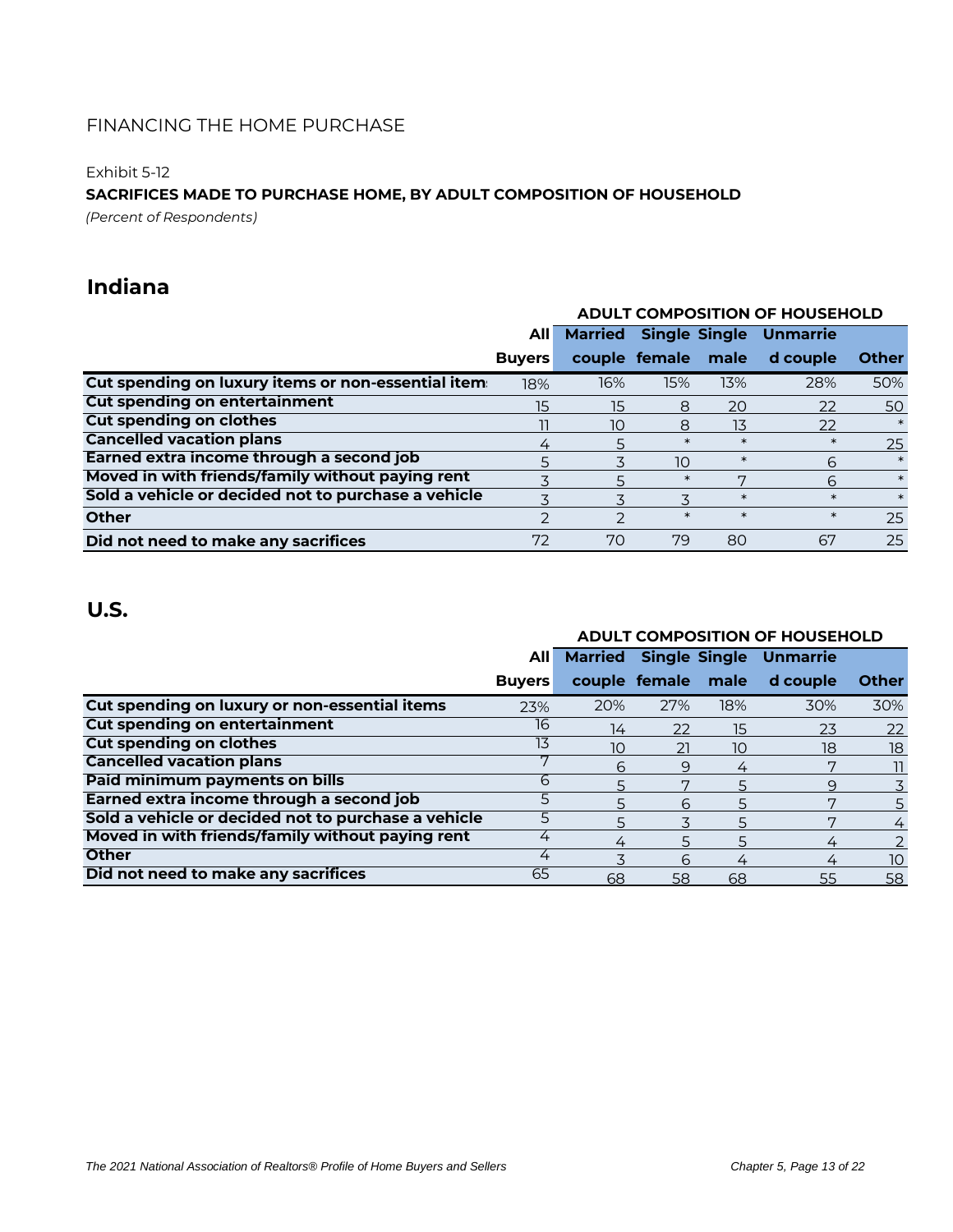### Exhibit 5-12

### **SACRIFICES MADE TO PURCHASE HOME, BY ADULT COMPOSITION OF HOUSEHOLD**

*(Percent of Respondents)*

# **Indiana**

|                                                     |               | <b>ADULT COMPOSITION OF HOUSEHOLD</b> |                    |        |                                       |              |  |
|-----------------------------------------------------|---------------|---------------------------------------|--------------------|--------|---------------------------------------|--------------|--|
|                                                     | AIII          |                                       |                    |        | <b>Married Single Single Unmarrie</b> |              |  |
|                                                     | <b>Buyers</b> |                                       | couple female male |        | d couple                              | <b>Other</b> |  |
| Cut spending on luxury items or non-essential item  | 18%           | 16%                                   | 15%                | 13%    | 28%                                   | 50%          |  |
| <b>Cut spending on entertainment</b>                | 15            | 15                                    | 8                  | 20     | 22                                    | 50           |  |
| <b>Cut spending on clothes</b>                      |               | 10                                    | 8                  | 13     | 22                                    |              |  |
| <b>Cancelled vacation plans</b>                     | 4             | 5                                     | $\ast$             | $\ast$ | $\ast$                                | 25           |  |
| Earned extra income through a second job            |               |                                       | 10                 | $\ast$ | 6                                     |              |  |
| Moved in with friends/family without paying rent    |               | 5                                     | $\ast$             | ⇁      | 6                                     | $\ast$       |  |
| Sold a vehicle or decided not to purchase a vehicle |               |                                       | 3                  | $\ast$ | $\ast$                                | $\ast$       |  |
| <b>Other</b>                                        |               | っ                                     | $\ast$             | $\ast$ | $\ast$                                | 25           |  |
| Did not need to make any sacrifices                 | 72            | 70                                    | 79                 | 80     | 67                                    | 25           |  |

# **U.S.**

### **ADULT COMPOSITION OF HOUSEHOLD**

|                                                     | <b>All</b>    |     |                    |     | <b>Married Single Single Unmarrie</b> |              |
|-----------------------------------------------------|---------------|-----|--------------------|-----|---------------------------------------|--------------|
|                                                     | <b>Buyers</b> |     | couple female male |     | d couple                              | <b>Other</b> |
| Cut spending on luxury or non-essential items       | 23%           | 20% | 27%                | 18% | 30%                                   | 30%          |
| <b>Cut spending on entertainment</b>                | 16            | 14  | 22                 | 15  | 23                                    | 22           |
| <b>Cut spending on clothes</b>                      | 13            | 10  | 21                 | 10  | 18                                    | 18           |
| <b>Cancelled vacation plans</b>                     |               | 6   | 9                  | 4   |                                       | 11           |
| Paid minimum payments on bills                      | 6             |     | 7                  |     | 9                                     | 3            |
| Earned extra income through a second job            | 5             |     | 6                  |     | 7                                     | 5            |
| Sold a vehicle or decided not to purchase a vehicle |               | 5   |                    | 5   |                                       | 4            |
| Moved in with friends/family without paying rent    | 4             | 4   | 5                  | 5   | 4                                     | 2            |
| <b>Other</b>                                        | 4             |     | 6                  | 4   | 4                                     | 10           |
| Did not need to make any sacrifices                 | 65            | 68  | 58                 | 68  | 55                                    | 58           |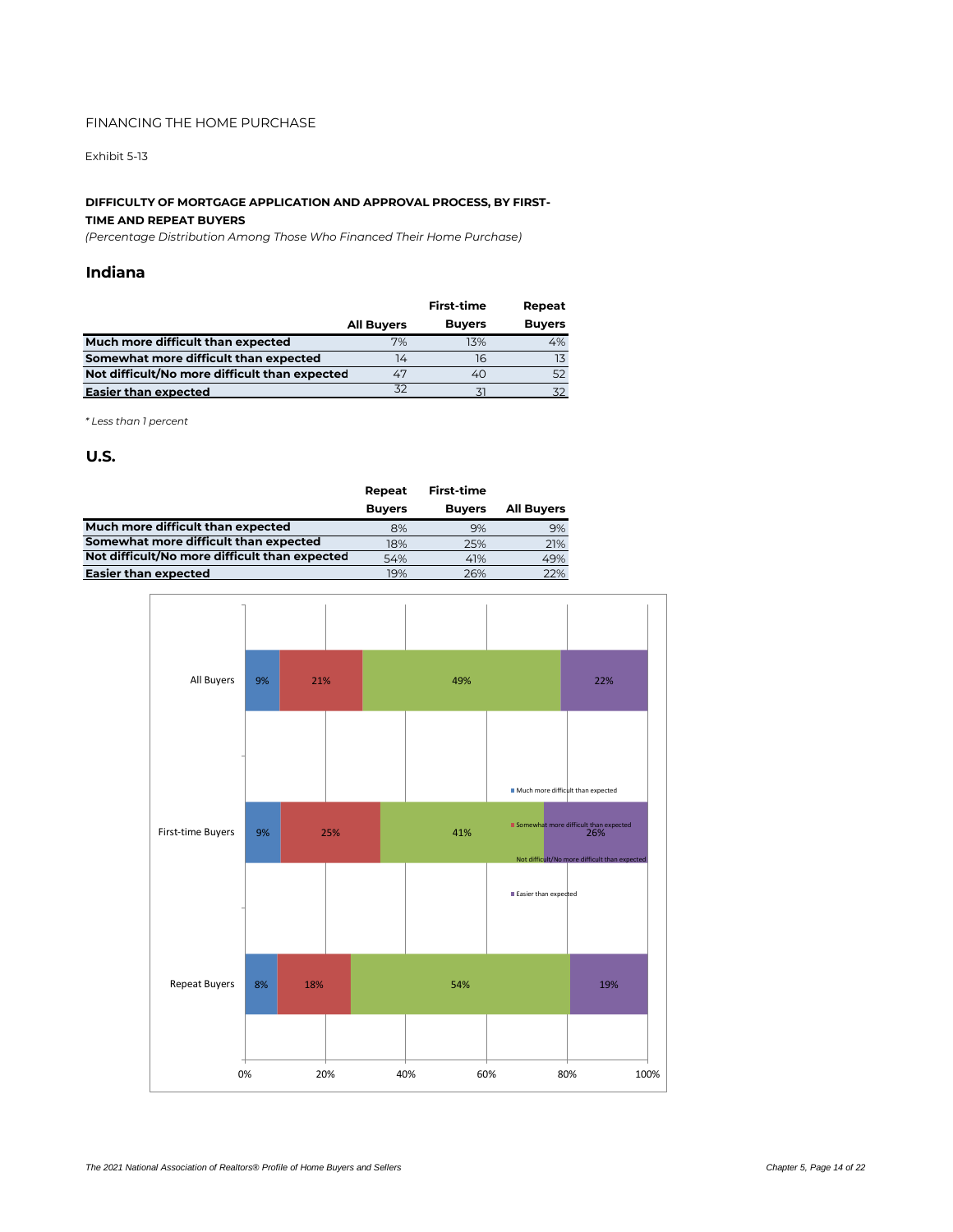Exhibit 5-13

# **DIFFICULTY OF MORTGAGE APPLICATION AND APPROVAL PROCESS, BY FIRST-**

### **TIME AND REPEAT BUYERS**

*(Percentage Distribution Among Those Who Financed Their Home Purchase)*

### **Indiana**

|                                               |                   | <b>First-time</b> | Repeat        |
|-----------------------------------------------|-------------------|-------------------|---------------|
|                                               | <b>All Buyers</b> | <b>Buyers</b>     | <b>Buyers</b> |
| Much more difficult than expected             | 7%                | 13%               | 4%            |
| Somewhat more difficult than expected         |                   | 16                |               |
| Not difficult/No more difficult than expected | 47                | 40                |               |
| <b>Easier than expected</b>                   | スつ                |                   |               |

*\* Less than 1 percent*

|                                               | Repeat        | <b>First-time</b> |                   |
|-----------------------------------------------|---------------|-------------------|-------------------|
|                                               | <b>Buyers</b> | <b>Buvers</b>     | <b>All Buyers</b> |
| Much more difficult than expected             | 8%            | 9%                | 9%                |
| Somewhat more difficult than expected         | 18%           | 25%               | 21%               |
| Not difficult/No more difficult than expected | 54%           | 41%               | 49%               |
| <b>Easier than expected</b>                   | 19%           | 26%               | 22%               |

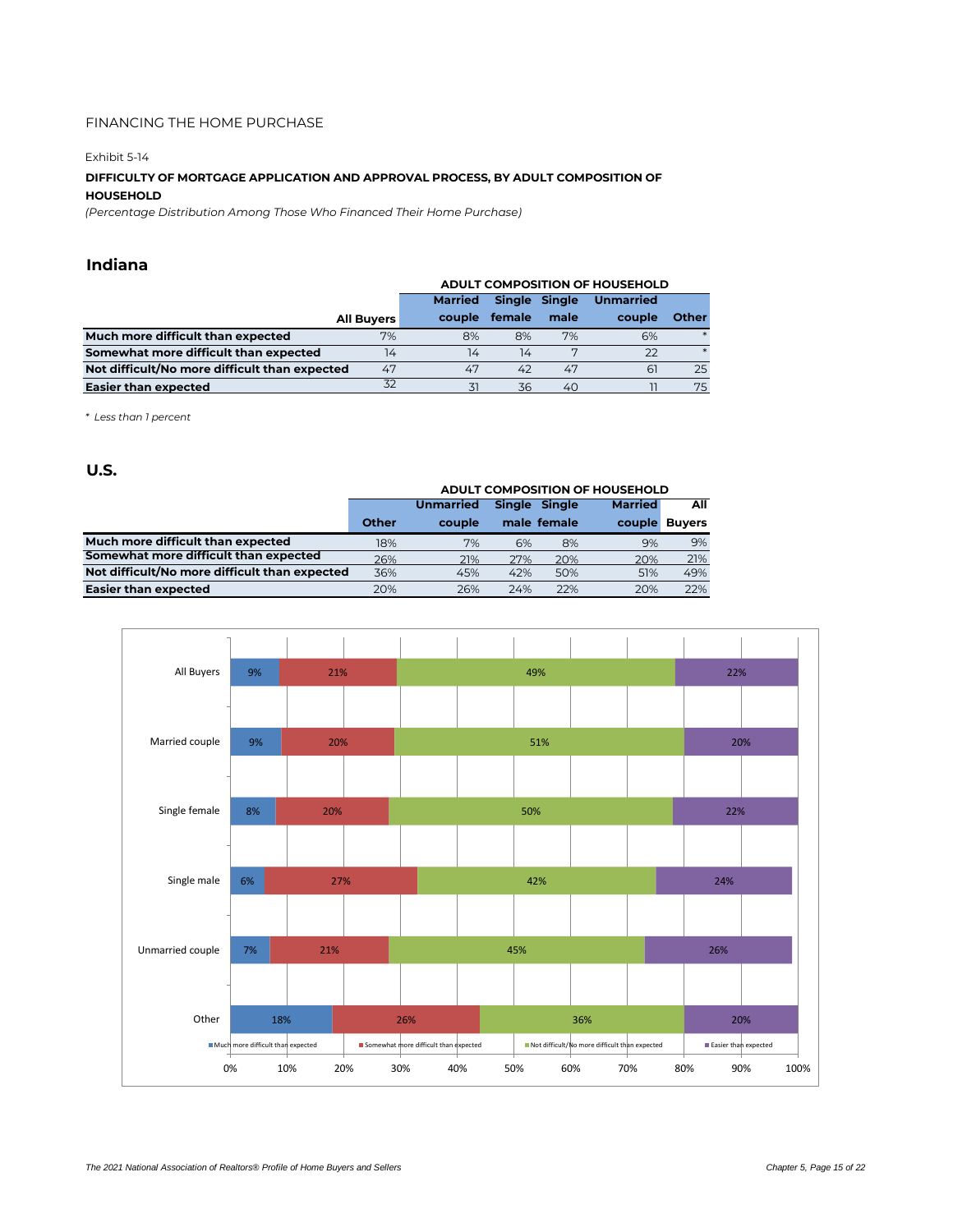#### Exhibit 5-14

#### **DIFFICULTY OF MORTGAGE APPLICATION AND APPROVAL PROCESS, BY ADULT COMPOSITION OF HOUSEHOLD**

*(Percentage Distribution Among Those Who Financed Their Home Purchase)*

### **Indiana**

|                                               |                      | <b>ADULT COMPOSITION OF HOUSEHOLD</b> |                                             |      |        |              |  |
|-----------------------------------------------|----------------------|---------------------------------------|---------------------------------------------|------|--------|--------------|--|
|                                               |                      | <b>Married</b>                        | <b>Single</b><br>Single<br><b>Unmarried</b> |      |        |              |  |
|                                               | <b>All Buyers</b>    | couple                                | female                                      | male | couple | <b>Other</b> |  |
| Much more difficult than expected             | 7%                   | 8%                                    | 8%                                          | 7%   | 6%     | $\ast$       |  |
| Somewhat more difficult than expected         | 14                   | 14                                    | 14                                          |      | 22     | $\ast$       |  |
| Not difficult/No more difficult than expected | 47                   | 47                                    | 42                                          | 47   | 61     | 25           |  |
| <b>Easier than expected</b>                   | 32<br>31<br>36<br>40 |                                       |                                             |      |        | 75           |  |

*\* Less than 1 percent*

|                                               |       | <b>ADULT COMPOSITION OF HOUSEHOLD</b>                                |     |             |     |               |
|-----------------------------------------------|-------|----------------------------------------------------------------------|-----|-------------|-----|---------------|
|                                               |       | <b>Married</b><br><b>Single</b><br><b>Single</b><br><b>Unmarried</b> |     |             |     |               |
|                                               | Other | couple                                                               |     | male female |     | couple Buyers |
| Much more difficult than expected             | 18%   | 7%                                                                   | 6%  | 8%          | 9%  | 9%            |
| Somewhat more difficult than expected         | 26%   | 21%                                                                  | 27% | 20%         | 20% | 21%           |
| Not difficult/No more difficult than expected | 36%   | 45%                                                                  | 42% | 50%         | 51% | 49%           |
| <b>Easier than expected</b>                   | 20%   | 26%                                                                  | 24% | 22%         | 20% | 22%           |

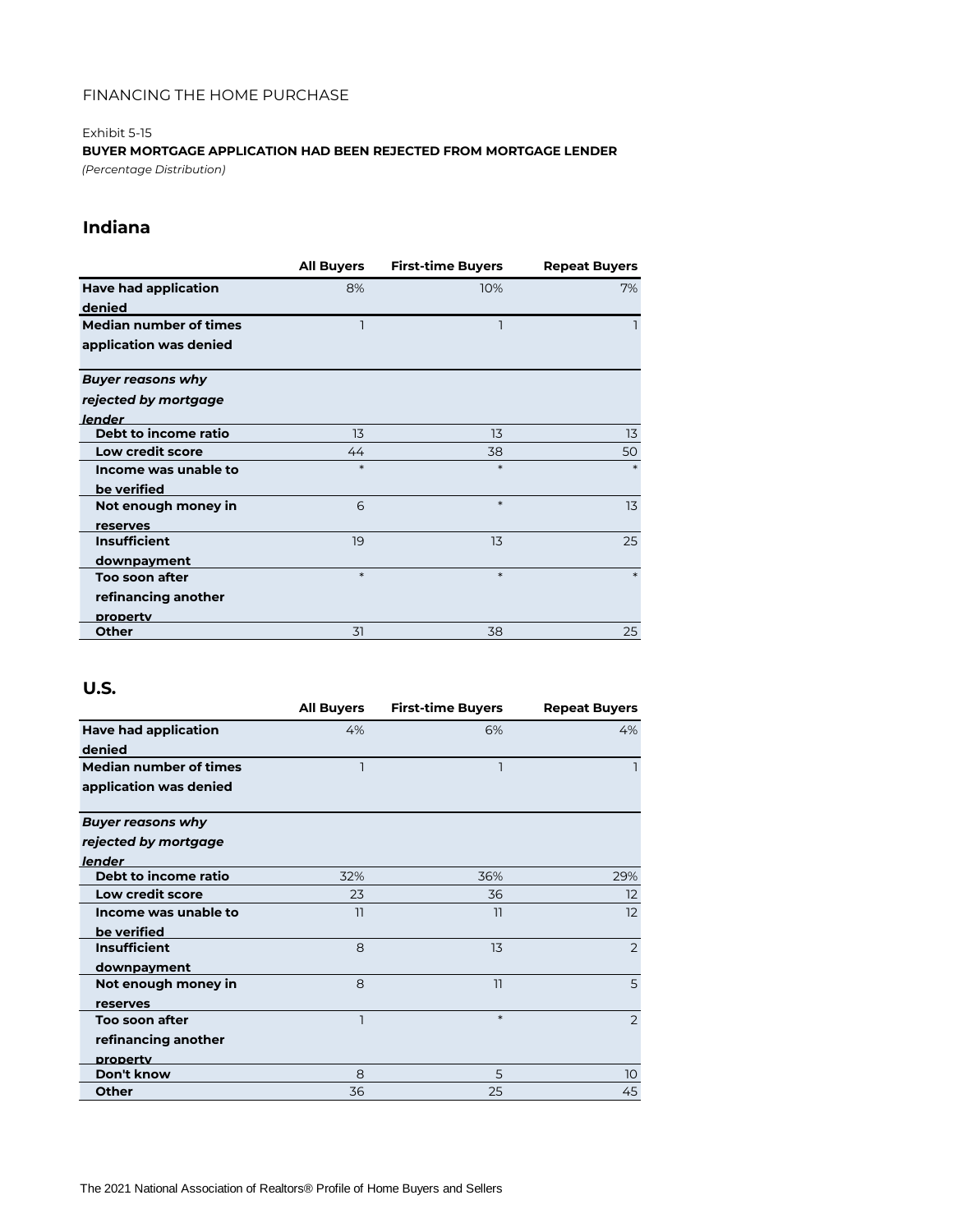### Exhibit 5-15

*(Percentage Distribution)* **BUYER MORTGAGE APPLICATION HAD BEEN REJECTED FROM MORTGAGE LENDER**

# **Indiana**

|                               | <b>All Buyers</b> | <b>First-time Buyers</b> | <b>Repeat Buyers</b> |
|-------------------------------|-------------------|--------------------------|----------------------|
| <b>Have had application</b>   | 8%                | 10%                      | 7%                   |
| denied                        |                   |                          |                      |
| <b>Median number of times</b> | ٦                 |                          |                      |
| application was denied        |                   |                          |                      |
|                               |                   |                          |                      |
| <b>Buyer reasons why</b>      |                   |                          |                      |
| rejected by mortgage          |                   |                          |                      |
| lender                        |                   |                          |                      |
| Debt to income ratio          | 13                | 13                       | 13                   |
| Low credit score              | 44                | 38                       | 50                   |
| Income was unable to          | $\ast$            | $\ast$                   | $\ast$               |
| be verified                   |                   |                          |                      |
| Not enough money in           | 6                 | $\ast$                   | 13                   |
| reserves                      |                   |                          |                      |
| <b>Insufficient</b>           | 19                | 13                       | 25                   |
| downpayment                   |                   |                          |                      |
| <b>Too soon after</b>         | $\ast$            | $\ast$                   | $\ast$               |
| refinancing another           |                   |                          |                      |
| property                      |                   |                          |                      |
| Other                         | 31                | 38                       | 25                   |

|                                | <b>All Buyers</b> | <b>First-time Buyers</b> | <b>Repeat Buyers</b> |
|--------------------------------|-------------------|--------------------------|----------------------|
| <b>Have had application</b>    | 4%                | 6%                       | 4%                   |
| denied                         |                   |                          |                      |
| <b>Median number of times</b>  | 1                 | ٦                        |                      |
| application was denied         |                   |                          |                      |
| <b>Buyer reasons why</b>       |                   |                          |                      |
| rejected by mortgage           |                   |                          |                      |
| lender<br>Debt to income ratio | 32%               | 36%                      | 29%                  |
| Low credit score               | 23                | 36                       | 12                   |
| Income was unable to           | 11                | 11                       | 12                   |
| be verified                    |                   |                          |                      |
| <b>Insufficient</b>            | 8                 | 13                       | $\overline{2}$       |
| downpayment                    |                   |                          |                      |
| Not enough money in            | 8                 | 11                       | 5                    |
| reserves                       |                   |                          |                      |
| Too soon after                 |                   | $\ast$                   | $\overline{2}$       |
| refinancing another            |                   |                          |                      |
| property                       |                   |                          |                      |
| Don't know                     | 8                 | 5                        | 10 <sup>°</sup>      |
| Other                          | 36                | 25                       | 45                   |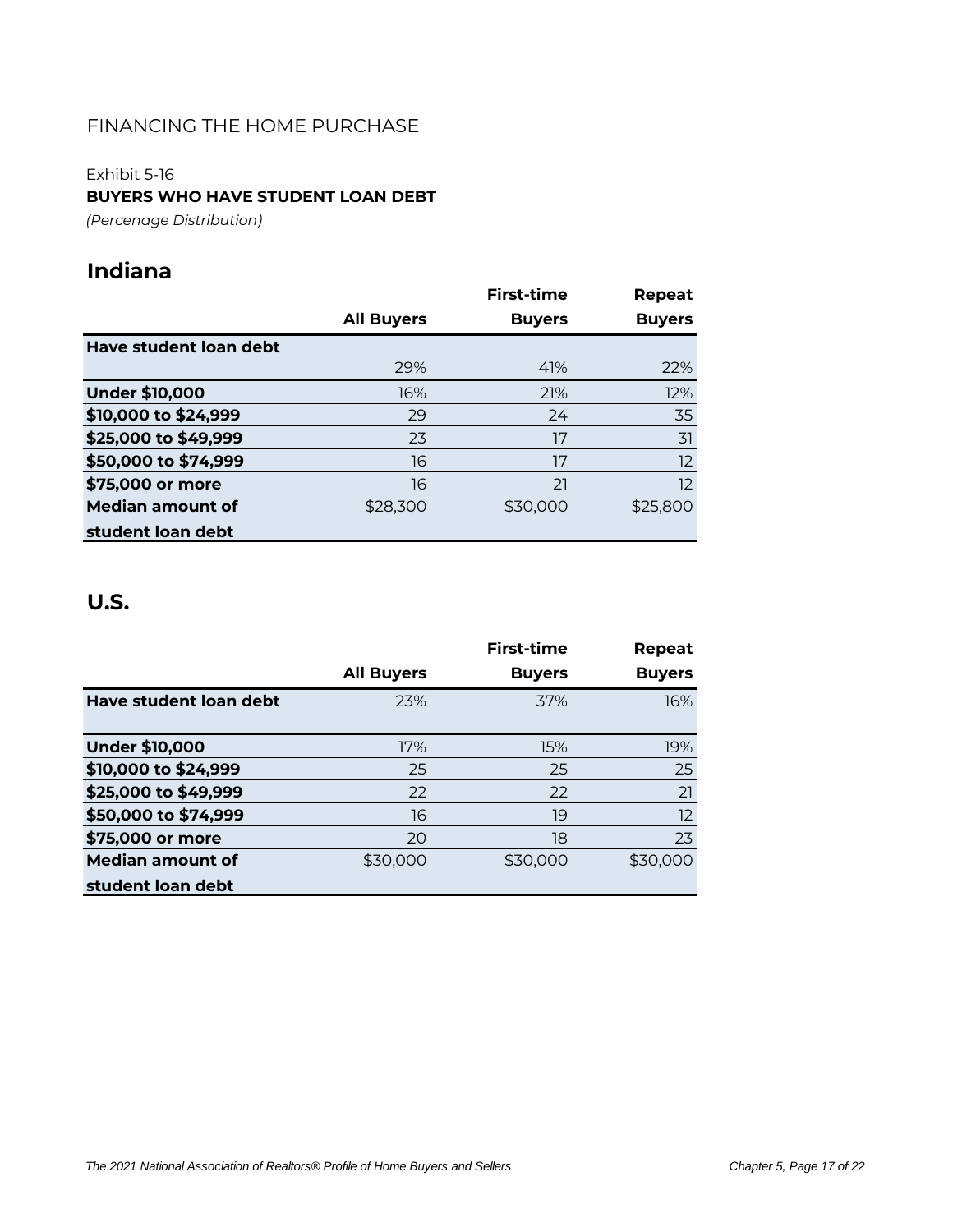### Exhibit 5-16

**BUYERS WHO HAVE STUDENT LOAN DEBT**

*(Percenage Distribution)*

# **Indiana**

|                         |                   | First-time    | <b>Repeat</b> |
|-------------------------|-------------------|---------------|---------------|
|                         | <b>All Buyers</b> | <b>Buyers</b> | <b>Buyers</b> |
| Have student loan debt  |                   |               |               |
|                         | 29%               | 41%           | 22%           |
| <b>Under \$10,000</b>   | 16%               | 21%           | 12%           |
| \$10,000 to \$24,999    | 29                | 24            | 35            |
| \$25,000 to \$49,999    | 23                | 17            | 31            |
| \$50,000 to \$74,999    | 16                | 17            | 12            |
| \$75,000 or more        | 16                | 21            | 12            |
| <b>Median amount of</b> | \$28,300          | \$30,000      | \$25,800      |
| student loan debt       |                   |               |               |

|                         |                   | <b>First-time</b> | <b>Repeat</b> |
|-------------------------|-------------------|-------------------|---------------|
|                         | <b>All Buyers</b> | <b>Buyers</b>     | <b>Buyers</b> |
| Have student loan debt  | 23%               | 37%               | 16%           |
|                         |                   |                   |               |
| <b>Under \$10,000</b>   | 17%               | 15%               | 19%           |
| \$10,000 to \$24,999    | 25                | 25                | 25            |
| \$25,000 to \$49,999    | 22                | 22                | 21            |
| \$50,000 to \$74,999    | 16                | 19                | 12            |
| \$75,000 or more        | 20                | 18                | 23            |
| <b>Median amount of</b> | \$30,000          | \$30,000          | \$30,000      |
| student loan debt       |                   |                   |               |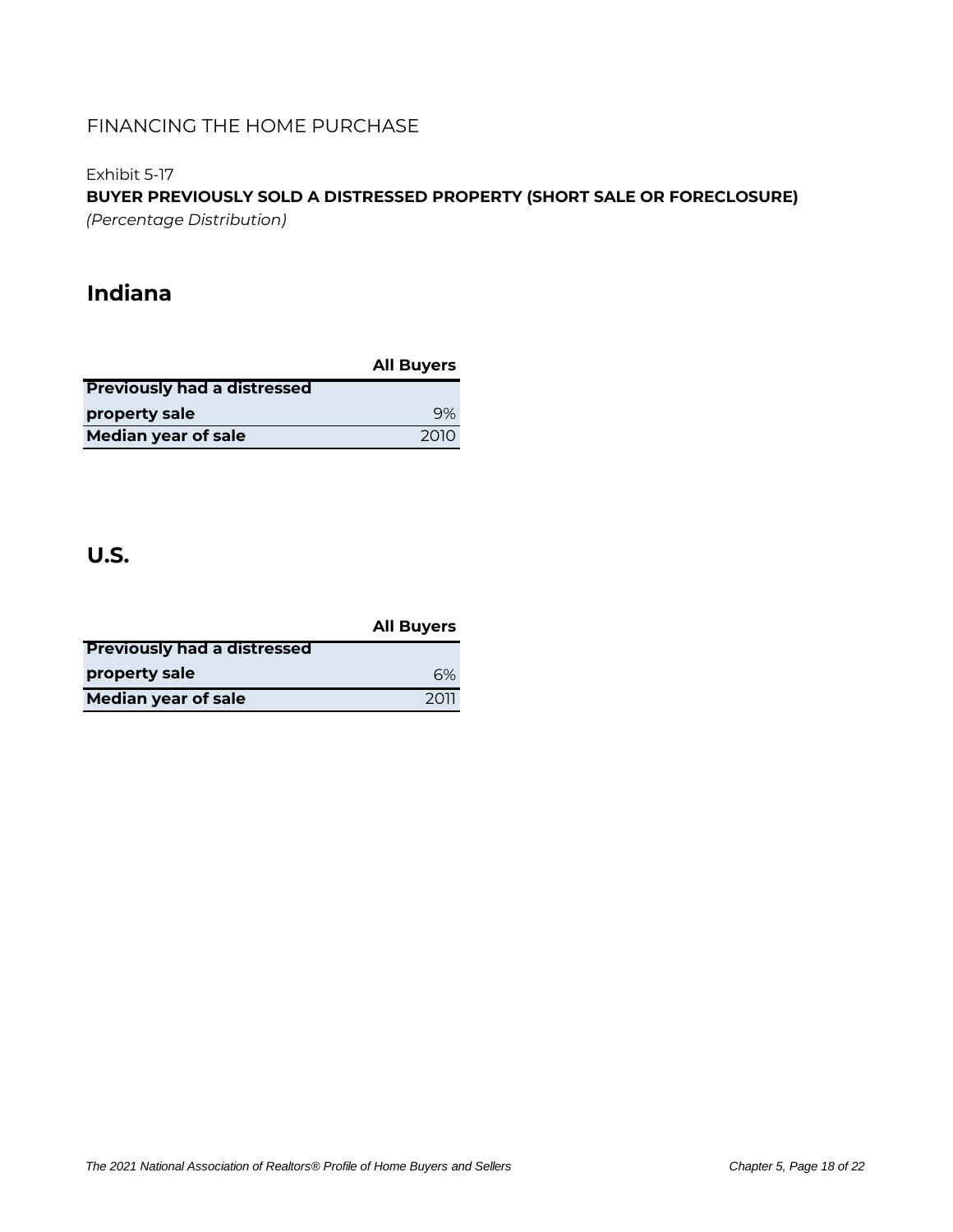Exhibit 5-17

**BUYER PREVIOUSLY SOLD A DISTRESSED PROPERTY (SHORT SALE OR FORECLOSURE)** *(Percentage Distribution)*

# **Indiana**

|                                    | <b>All Buyers</b> |
|------------------------------------|-------------------|
| <b>Previously had a distressed</b> |                   |
| property sale                      | 9%                |
| <b>Median year of sale</b>         | 2010              |

|                                    | <b>All Buyers</b> |
|------------------------------------|-------------------|
| <b>Previously had a distressed</b> |                   |
| property sale                      | 6%                |
| <b>Median year of sale</b>         | 2011              |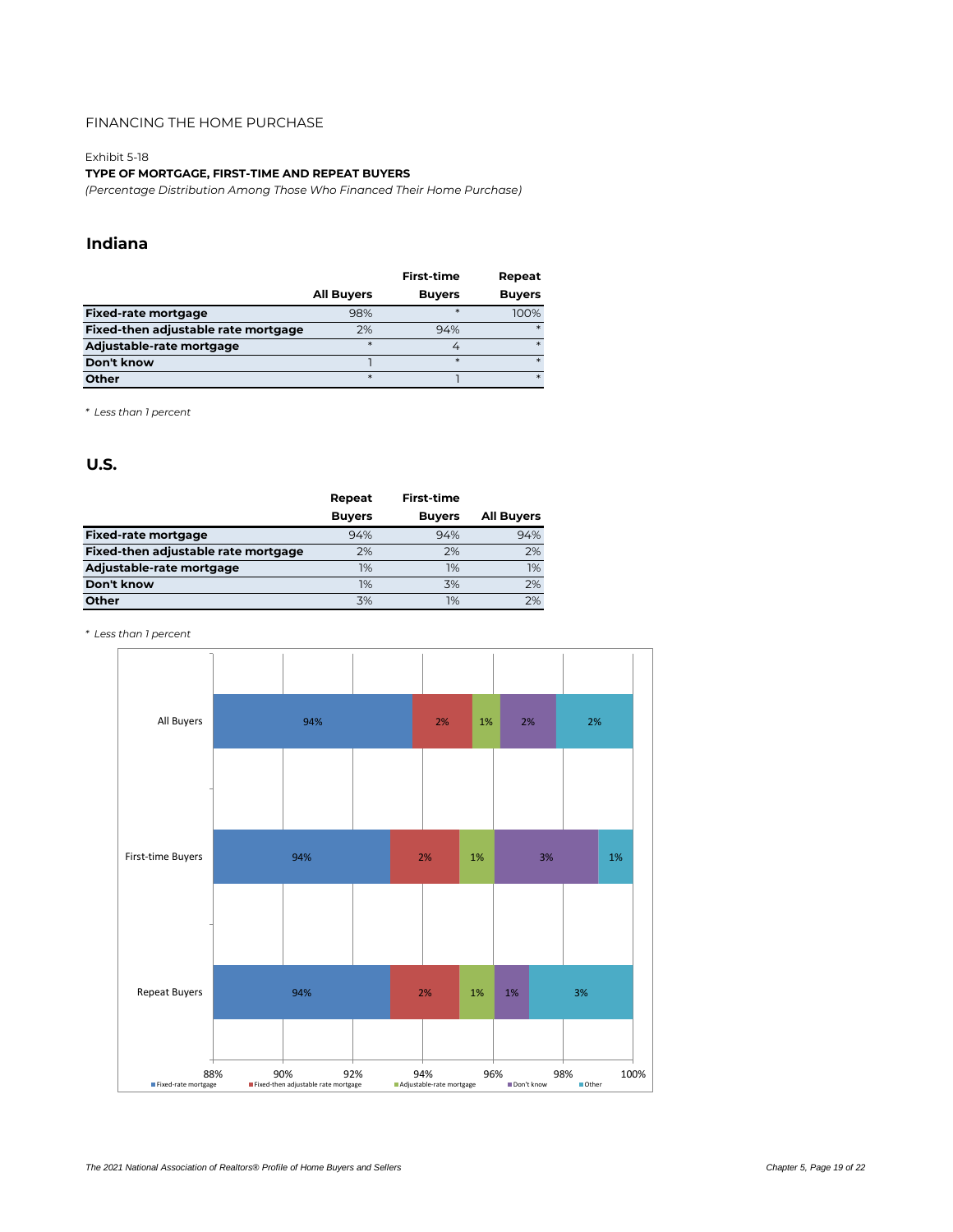#### Exhibit 5-18

#### **TYPE OF MORTGAGE, FIRST-TIME AND REPEAT BUYERS**

*(Percentage Distribution Among Those Who Financed Their Home Purchase)*

### **Indiana**

|                                     |                   | <b>First-time</b> | Repeat        |
|-------------------------------------|-------------------|-------------------|---------------|
|                                     | <b>All Buyers</b> | <b>Buyers</b>     | <b>Buyers</b> |
| <b>Fixed-rate mortgage</b>          | 98%               | $*$               | 100%          |
| Fixed-then adjustable rate mortgage | 2%                | 94%               |               |
| Adjustable-rate mortgage            | $*$               |                   |               |
| Don't know                          |                   | $\ast$            |               |
| Other                               | *                 |                   |               |

*\* Less than 1 percent*

### **U.S.**

|                                     | Repeat        | <b>First-time</b> |                   |
|-------------------------------------|---------------|-------------------|-------------------|
|                                     | <b>Buyers</b> | <b>Buyers</b>     | <b>All Buyers</b> |
| <b>Fixed-rate mortgage</b>          | 94%           | 94%               | 94%               |
| Fixed-then adjustable rate mortgage | 2%            | 2%                | 2%                |
| Adjustable-rate mortgage            | 1%            | 1%                | 1%                |
| Don't know                          | 1%            | 3%                | 2%                |
| Other                               | 3%            | 1%                | 2%                |

*\* Less than 1 percent*

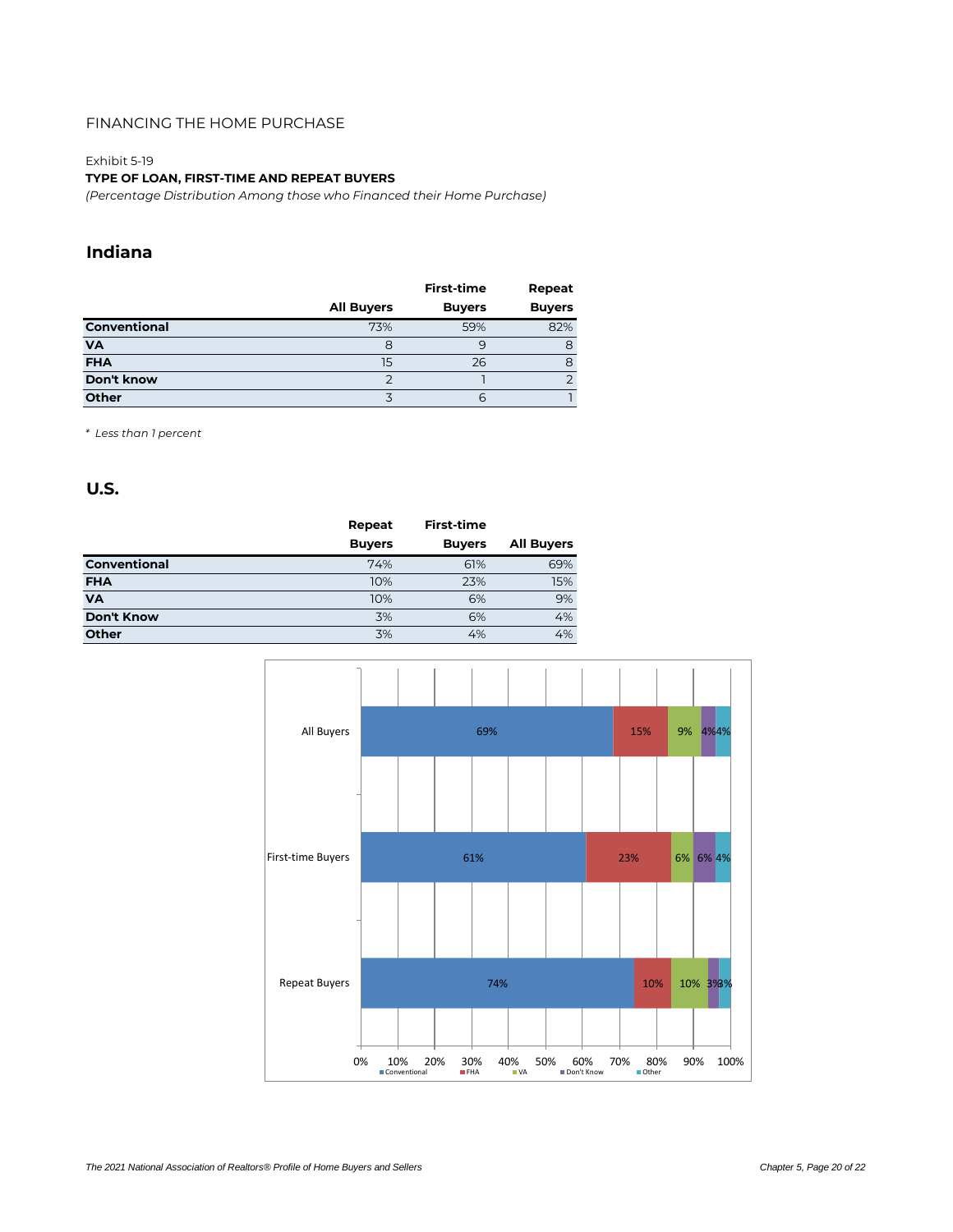#### Exhibit 5-19

#### **TYPE OF LOAN, FIRST-TIME AND REPEAT BUYERS**

*(Percentage Distribution Among those who Financed their Home Purchase)*

## **Indiana**

|                     |                   | <b>First-time</b> | Repeat        |
|---------------------|-------------------|-------------------|---------------|
|                     | <b>All Buyers</b> | <b>Buyers</b>     | <b>Buyers</b> |
| <b>Conventional</b> | 73%               | 59%               | 82%           |
| <b>VA</b>           | 8                 |                   |               |
| <b>FHA</b>          | 15                | 26                |               |
| Don't know          |                   |                   |               |
| Other               |                   |                   |               |

*\* Less than 1 percent*

|                   | Repeat        | First-time    |                   |
|-------------------|---------------|---------------|-------------------|
|                   | <b>Buyers</b> | <b>Buyers</b> | <b>All Buyers</b> |
| Conventional      | 74%           | 61%           | 69%               |
| <b>FHA</b>        | 10%           | 23%           | 15%               |
| <b>VA</b>         | 10%           | 6%            | 9%                |
| <b>Don't Know</b> | 3%            | 6%            | 4%                |
| <b>Other</b>      | 3%            | 4%            | 4%                |

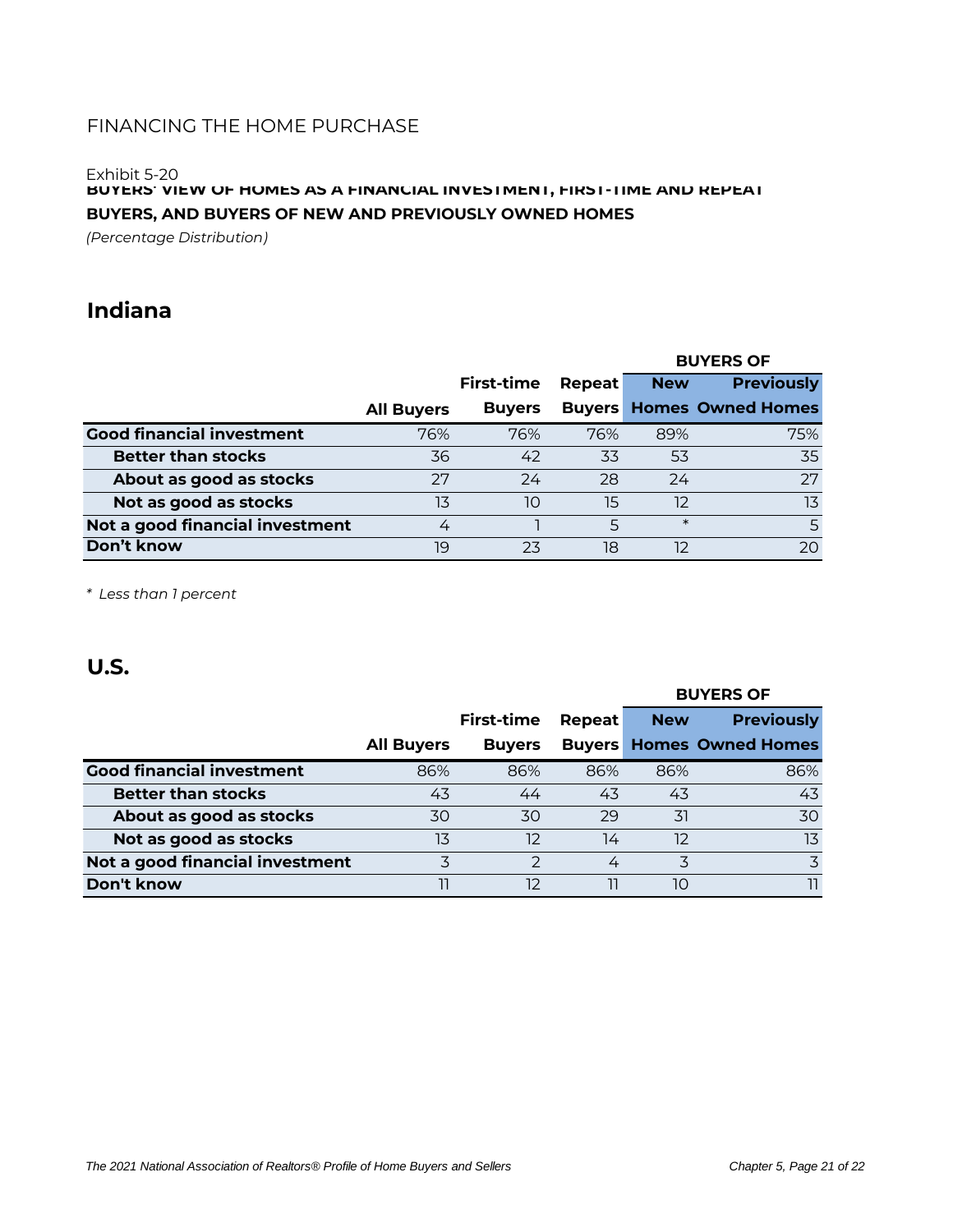#### Exhibit 5-20

### **BUYERS' VIEW OF HOMES AS A FINANCIAL INVESTMENT, FIRST-TIME AND REPEAT BUYERS, AND BUYERS OF NEW AND PREVIOUSLY OWNED HOMES**

*(Percentage Distribution)*

# **Indiana**

|                                  |                   |                   |        | <b>BUYERS OF</b> |                                 |  |  |
|----------------------------------|-------------------|-------------------|--------|------------------|---------------------------------|--|--|
|                                  |                   | <b>First-time</b> | Repeat | <b>New</b>       | <b>Previously</b>               |  |  |
|                                  | <b>All Buyers</b> | <b>Buyers</b>     |        |                  | <b>Buyers Homes Owned Homes</b> |  |  |
| <b>Good financial investment</b> | 76%               | 76%               | 76%    | 89%              | 75%                             |  |  |
| <b>Better than stocks</b>        | 36                | 42                | 33     | 53               | 35                              |  |  |
| About as good as stocks          | 27                | 24                | 28     | 24               | 27                              |  |  |
| Not as good as stocks            | 13                | 10                | 15     | 12               | 13                              |  |  |
| Not a good financial investment  | 4                 |                   | 5      | $\ast$           |                                 |  |  |
| Don't know                       | 19                | 23                | 18     | 12               | 20                              |  |  |

*\* Less than 1 percent*

# **U.S.**

|                                  |                   |               |        | po i linj vi |                                 |  |  |
|----------------------------------|-------------------|---------------|--------|--------------|---------------------------------|--|--|
|                                  |                   | First-time    | Repeat | <b>New</b>   | <b>Previously</b>               |  |  |
|                                  | <b>All Buyers</b> | <b>Buyers</b> |        |              | <b>Buyers Homes Owned Homes</b> |  |  |
| <b>Good financial investment</b> | 86%               | 86%           | 86%    | 86%          | 86%                             |  |  |
| <b>Better than stocks</b>        | 43                | 44            | 43     | 43           | 43                              |  |  |
| About as good as stocks          | 30                | 30            | 29     | 31           | 30                              |  |  |
| Not as good as stocks            | 13                | 12            | 14     | 12           | 13                              |  |  |
| Not a good financial investment  | 3                 | っ             | 4      | 3            | $\overline{3}$                  |  |  |
| Don't know                       |                   | 12            |        | 10           | 11                              |  |  |

# **BUYERS OF**